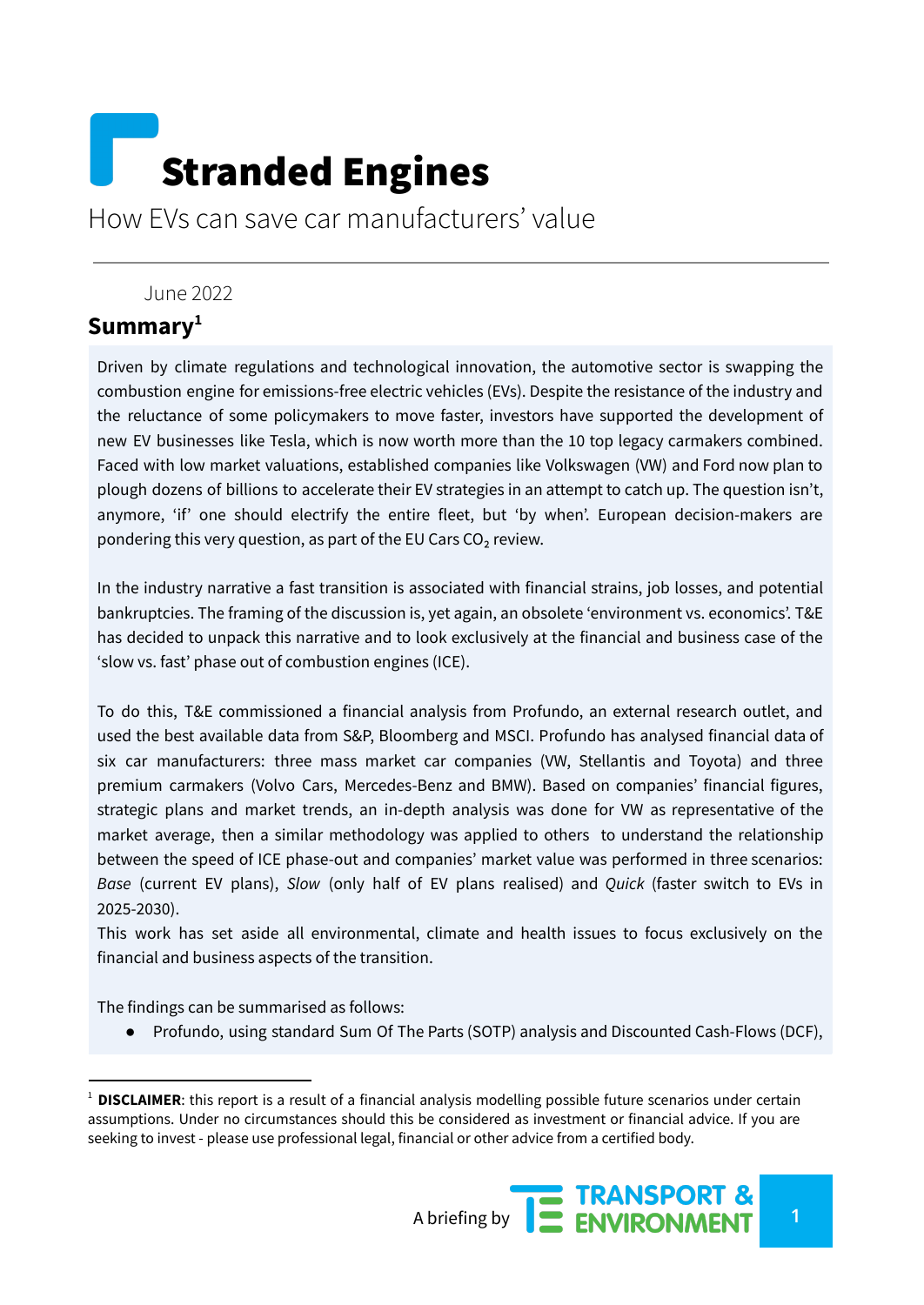# Stranded Engines

How EVs can save car manufacturers' value

#### June 2022

## **Summary 1**

Driven by climate regulations and technological innovation, the automotive sector is swapping the combustion engine for emissions-free electric vehicles (EVs). Despite the resistance of the industry and the reluctance of some policymakers to move faster, investors have supported the development of new EV businesses like Tesla, which is now worth more than the 10 top legacy carmakers combined. Faced with low market valuations, established companies like Volkswagen (VW) and Ford now plan to plough dozens of billions to accelerate their EV strategies in an attempt to catch up. The question isn't, anymore, 'if' one should electrify the entire fleet, but 'by when'. European decision-makers are pondering this very question, as part of the EU Cars  $CO<sub>2</sub>$  review.

In the industry narrative a fast transition is associated with financial strains, job losses, and potential bankruptcies. The framing of the discussion is, yet again, an obsolete 'environment vs. economics'. T&E has decided to unpack this narrative and to look exclusively at the financial and business case of the 'slow vs. fast' phase out of combustion engines (ICE).

To do this, T&E commissioned a financial analysis from Profundo, an external research outlet, and used the best available data from S&P, Bloomberg and MSCI. Profundo has analysed financial data of six car manufacturers: three mass market car companies (VW, Stellantis and Toyota) and three premium carmakers (Volvo Cars, Mercedes-Benz and BMW). Based on companies' financial figures, strategic plans and market trends, an in-depth analysis was done for VW as representative of the market average, then a similar methodology was applied to others to understand the relationship between the speed of ICE phase-out and companies' market value was performed in three scenarios: *Base* (current EV plans), *Slow* (only half of EV plans realised) and *Quick* (faster switch to EVs in 2025-2030).

This work has set aside all environmental, climate and health issues to focus exclusively on the financial and business aspects of the transition.

The findings can be summarised as follows:

● Profundo, using standard Sum Of The Parts (SOTP) analysis and Discounted Cash-Flows (DCF),

<sup>&</sup>lt;sup>1</sup> **DISCLAIMER**: this report is a result of a financial analysis modelling possible future scenarios under certain assumptions. Under no circumstances should this be considered as investment or financial advice. If you are seeking to invest - please use professional legal, financial or other advice from a certified body.

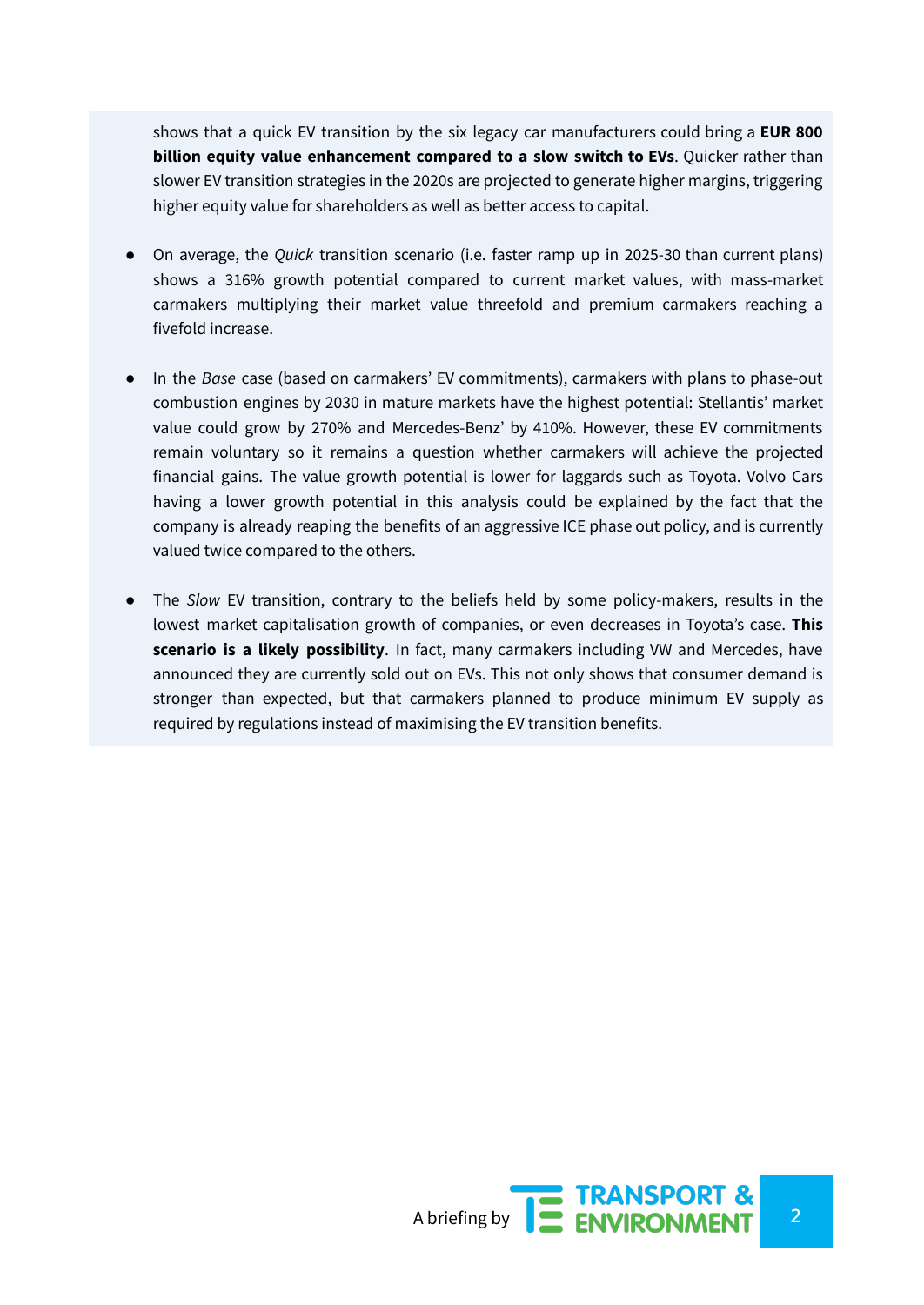shows that a quick EV transition by the six legacy car manufacturers could bring a **EUR 800 billion equity value enhancement compared to a slow switch to EVs**. Quicker rather than slower EV transition strategies in the 2020s are projected to generate higher margins, triggering higher equity value for shareholders as well as better access to capital.

- On average, the *Quick* transition scenario (i.e. faster ramp up in 2025-30 than current plans) shows a 316% growth potential compared to current market values, with mass-market carmakers multiplying their market value threefold and premium carmakers reaching a fivefold increase.
- In the *Base* case (based on carmakers' EV commitments), carmakers with plans to phase-out combustion engines by 2030 in mature markets have the highest potential: Stellantis' market value could grow by 270% and Mercedes-Benz' by 410%. However, these EV commitments remain voluntary so it remains a question whether carmakers will achieve the projected financial gains. The value growth potential is lower for laggards such as Toyota. Volvo Cars having a lower growth potential in this analysis could be explained by the fact that the company is already reaping the benefits of an aggressive ICE phase out policy, and is currently valued twice compared to the others.
- The *Slow* EV transition, contrary to the beliefs held by some policy-makers, results in the lowest market capitalisation growth of companies, or even decreases in Toyota's case. **This scenario is a likely possibility**. In fact, many carmakers including VW and Mercedes, have announced they are currently sold out on EVs. This not only shows that consumer demand is stronger than expected, but that carmakers planned to produce minimum EV supply as required by regulations instead of maximising the EV transition benefits.

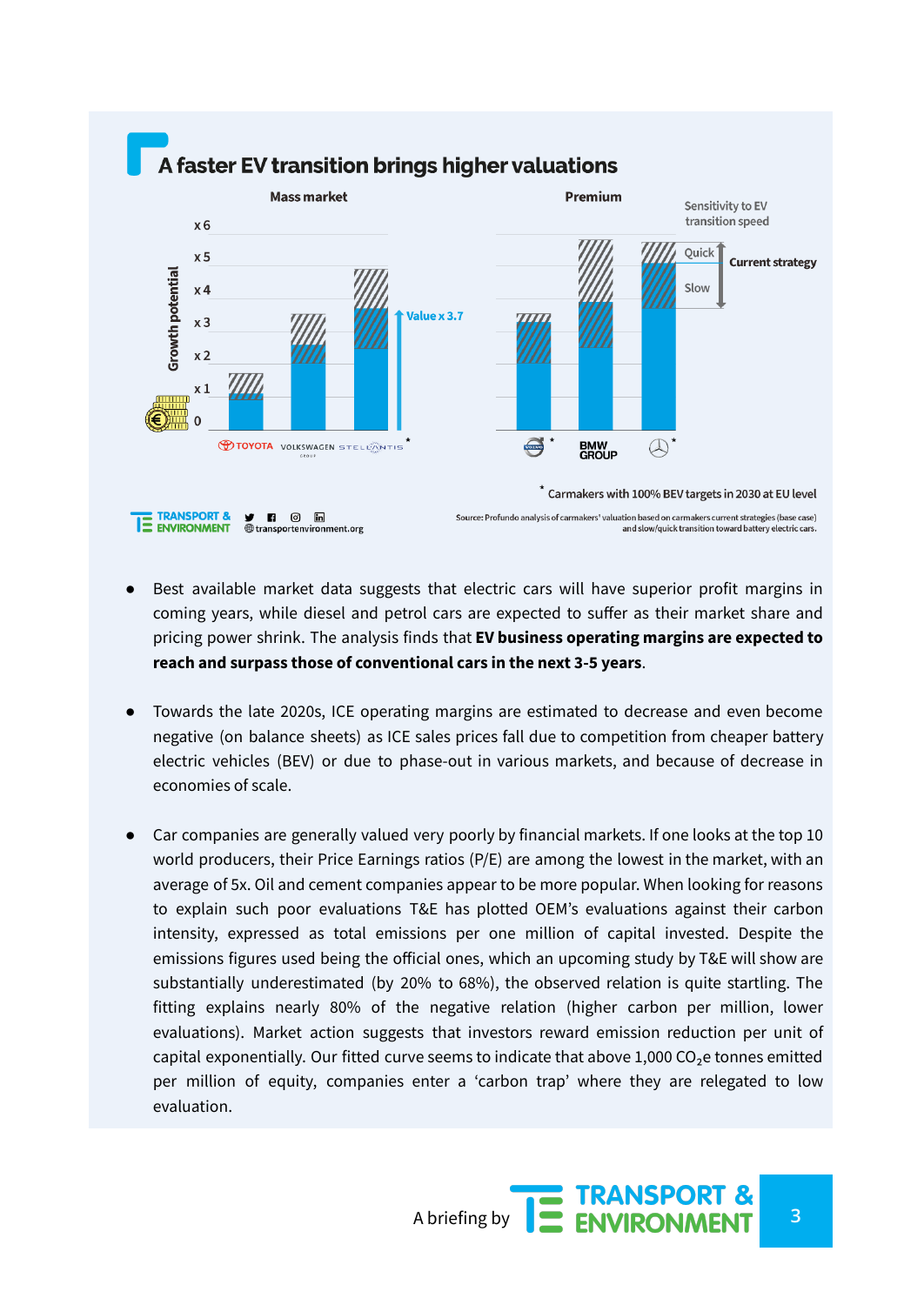

- Best available market data suggests that electric cars will have superior profit margins in coming years, while diesel and petrol cars are expected to suffer as their market share and pricing power shrink. The analysis finds that **EV business operating margins are expected to reach and surpass those of conventional cars in the next 3-5 years**.
- Towards the late 2020s, ICE operating margins are estimated to decrease and even become negative (on balance sheets) as ICE sales prices fall due to competition from cheaper battery electric vehicles (BEV) or due to phase-out in various markets, and because of decrease in economies of scale.
- Car companies are generally valued very poorly by financial markets. If one looks at the top 10 world producers, their Price Earnings ratios (P/E) are among the lowest in the market, with an average of 5x. Oil and cement companies appear to be more popular. When looking for reasons to explain such poor evaluations T&E has plotted OEM's evaluations against their carbon intensity, expressed as total emissions per one million of capital invested. Despite the emissions figures used being the official ones, which an upcoming study by T&E will show are substantially underestimated (by 20% to 68%), the observed relation is quite startling. The fitting explains nearly 80% of the negative relation (higher carbon per million, lower evaluations). Market action suggests that investors reward emission reduction per unit of capital exponentially. Our fitted curve seems to indicate that above  $1,000$  CO<sub>2</sub>e tonnes emitted per million of equity, companies enter a 'carbon trap' where they are relegated to low evaluation.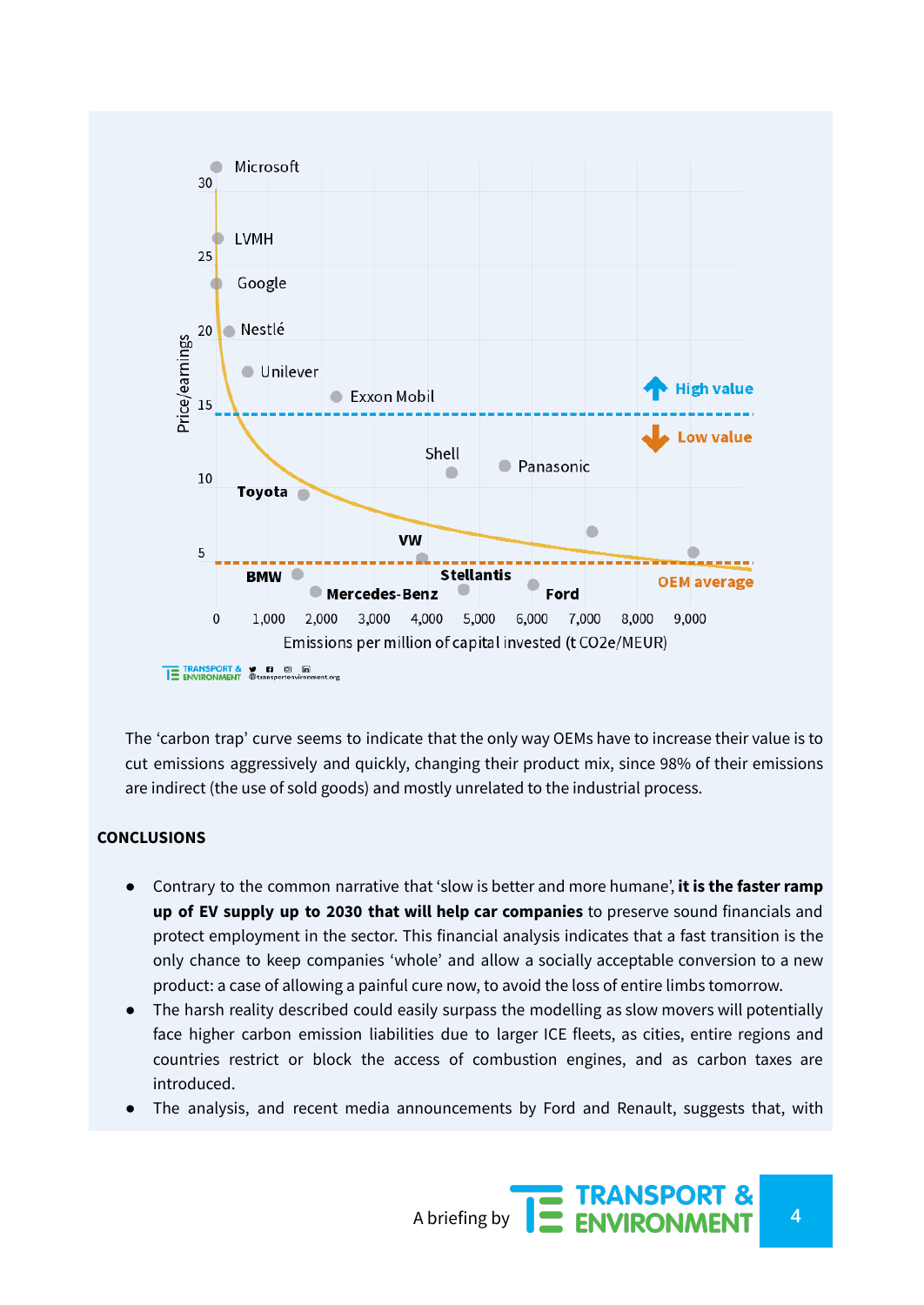

The 'carbon trap' curve seems to indicate that the only way OEMs have to increase their value is to cut emissions aggressively and quickly, changing their product mix, since 98% of their emissions are indirect (the use of sold goods) and mostly unrelated to the industrial process.

#### **CONCLUSIONS**

- Contrary to the common narrative that 'slow is better and more humane', **it is the faster ramp up of EV supply up to 2030 that will help car companies** to preserve sound financials and protect employment in the sector. This financial analysis indicates that a fast transition is the only chance to keep companies 'whole' and allow a socially acceptable conversion to a new product: a case of allowing a painful cure now, to avoid the loss of entire limbs tomorrow.
- The harsh reality described could easily surpass the modelling as slow movers will potentially face higher carbon emission liabilities due to larger ICE fleets, as cities, entire regions and countries restrict or block the access of combustion engines, and as carbon taxes are introduced.
- The analysis, and recent media announcements by Ford and Renault, suggests that, with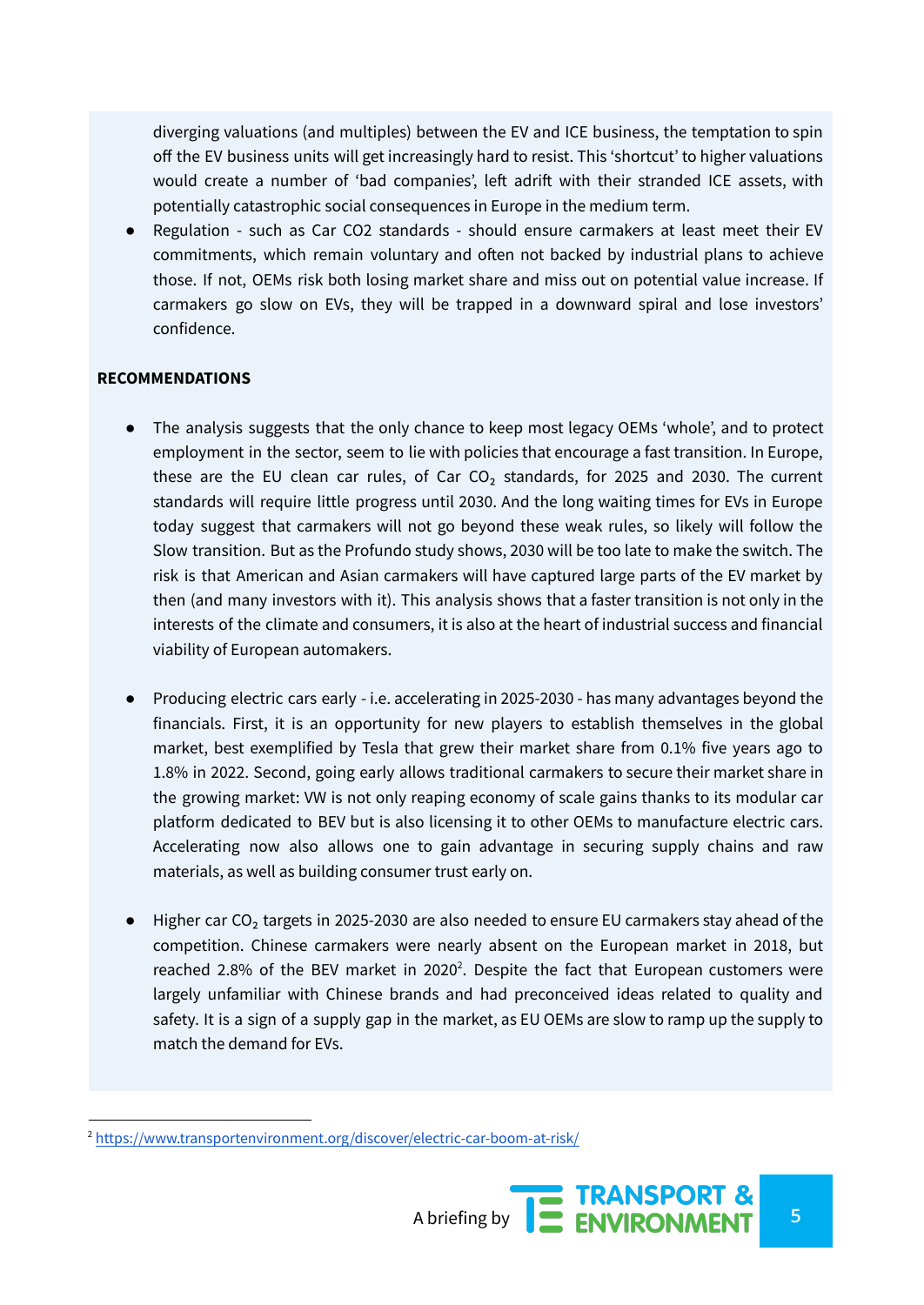diverging valuations (and multiples) between the EV and ICE business, the temptation to spin off the EV business units will get increasingly hard to resist. This 'shortcut' to higher valuations would create a number of 'bad companies', left adrift with their stranded ICE assets, with potentially catastrophic social consequences in Europe in the medium term.

● Regulation - such as Car CO2 standards - should ensure carmakers at least meet their EV commitments, which remain voluntary and often not backed by industrial plans to achieve those. If not, OEMs risk both losing market share and miss out on potential value increase. If carmakers go slow on EVs, they will be trapped in a downward spiral and lose investors' confidence.

#### **RECOMMENDATIONS**

- The analysis suggests that the only chance to keep most legacy OEMs 'whole', and to protect employment in the sector, seem to lie with policies that encourage a fast transition. In Europe, these are the EU clean car rules, of Car  $CO<sub>2</sub>$  standards, for 2025 and 2030. The current standards will require little progress until 2030. And the long waiting times for EVs in Europe today suggest that carmakers will not go beyond these weak rules, so likely will follow the Slow transition. But as the Profundo study shows, 2030 will be too late to make the switch. The risk is that American and Asian carmakers will have captured large parts of the EV market by then (and many investors with it). This analysis shows that a faster transition is not only in the interests of the climate and consumers, it is also at the heart of industrial success and financial viability of European automakers.
- Producing electric cars early i.e. accelerating in 2025-2030 has many advantages beyond the financials. First, it is an opportunity for new players to establish themselves in the global market, best exemplified by Tesla that grew their market share from 0.1% five years ago to 1.8% in 2022. Second, going early allows traditional carmakers to secure their market share in the growing market: VW is not only reaping economy of scale gains thanks to its modular car platform dedicated to BEV but is also licensing it to other OEMs to manufacture electric cars. Accelerating now also allows one to gain advantage in securing supply chains and raw materials, as well as building consumer trust early on.
- Higher car CO<sub>2</sub> targets in 2025-2030 are also needed to ensure EU carmakers stay ahead of the competition. Chinese carmakers were nearly absent on the European market in 2018, but reached 2.8% of the BEV market in 2020<sup>2</sup>. Despite the fact that European customers were largely unfamiliar with Chinese brands and had preconceived ideas related to quality and safety. It is a sign of a supply gap in the market, as EU OEMs are slow to ramp up the supply to match the demand for EVs.

<sup>2</sup> <https://www.transportenvironment.org/discover/electric-car-boom-at-risk/>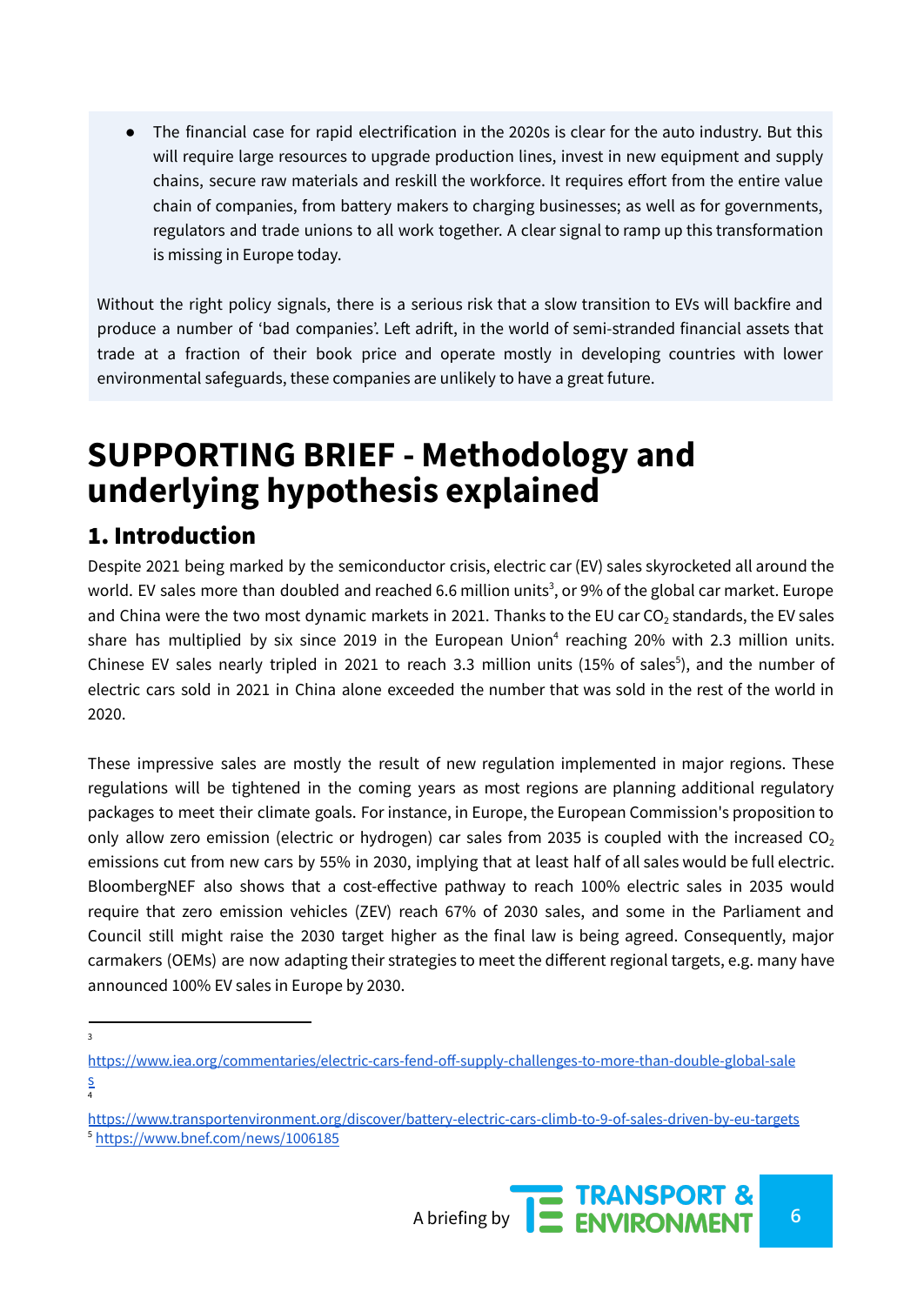● The financial case for rapid electrification in the 2020s is clear for the auto industry. But this will require large resources to upgrade production lines, invest in new equipment and supply chains, secure raw materials and reskill the workforce. It requires effort from the entire value chain of companies, from battery makers to charging businesses; as well as for governments, regulators and trade unions to all work together. A clear signal to ramp up this transformation is missing in Europe today.

Without the right policy signals, there is a serious risk that a slow transition to EVs will backfire and produce a number of 'bad companies'. Left adrift, in the world of semi-stranded financial assets that trade at a fraction of their book price and operate mostly in developing countries with lower environmental safeguards, these companies are unlikely to have a great future.

## **SUPPORTING BRIEF - Methodology and underlying hypothesis explained**

## 1. Introduction

Despite 2021 being marked by the semiconductor crisis, electric car (EV) sales skyrocketed all around the world. EV sales more than doubled and reached 6.6 million units<sup>3</sup>, or 9% of the global car market. Europe and China were the two most dynamic markets in 2021. Thanks to the EU car  $CO<sub>2</sub>$  standards, the EV sales share has multiplied by six since 2019 in the European Union<sup>4</sup> reaching 20% with 2.3 million units. Chinese EV sales nearly tripled in 2021 to reach 3.3 million units (15% of sales<sup>5</sup>), and the number of electric cars sold in 2021 in China alone exceeded the number that was sold in the rest of the world in 2020.

These impressive sales are mostly the result of new regulation implemented in major regions. These regulations will be tightened in the coming years as most regions are planning additional regulatory packages to meet their climate goals. For instance, in Europe, the European Commission's proposition to only allow zero emission (electric or hydrogen) car sales from 2035 is coupled with the increased  $CO<sub>2</sub>$ emissions cut from new cars by 55% in 2030, implying that at least half of all sales would be full electric. BloombergNEF also shows that a cost-effective pathway to reach 100% electric sales in 2035 would require that zero emission vehicles (ZEV) reach 67% of 2030 sales, and some in the Parliament and Council still might raise the 2030 target higher as the final law is being agreed. Consequently, major carmakers (OEMs) are now adapting their strategies to meet the different regional targets, e.g. many have announced 100% EV sales in Europe by 2030.

3

<sup>5</sup> <https://www.bnef.com/news/1006185> <https://www.transportenvironment.org/discover/battery-electric-cars-climb-to-9-of-sales-driven-by-eu-targets>



<sup>4</sup> [https://www.iea.org/commentaries/electric-cars-fend-off-supply-challenges-to-more-than-double-global-sale](https://www.iea.org/commentaries/electric-cars-fend-off-supply-challenges-to-more-than-double-global-sales) [s](https://www.iea.org/commentaries/electric-cars-fend-off-supply-challenges-to-more-than-double-global-sales)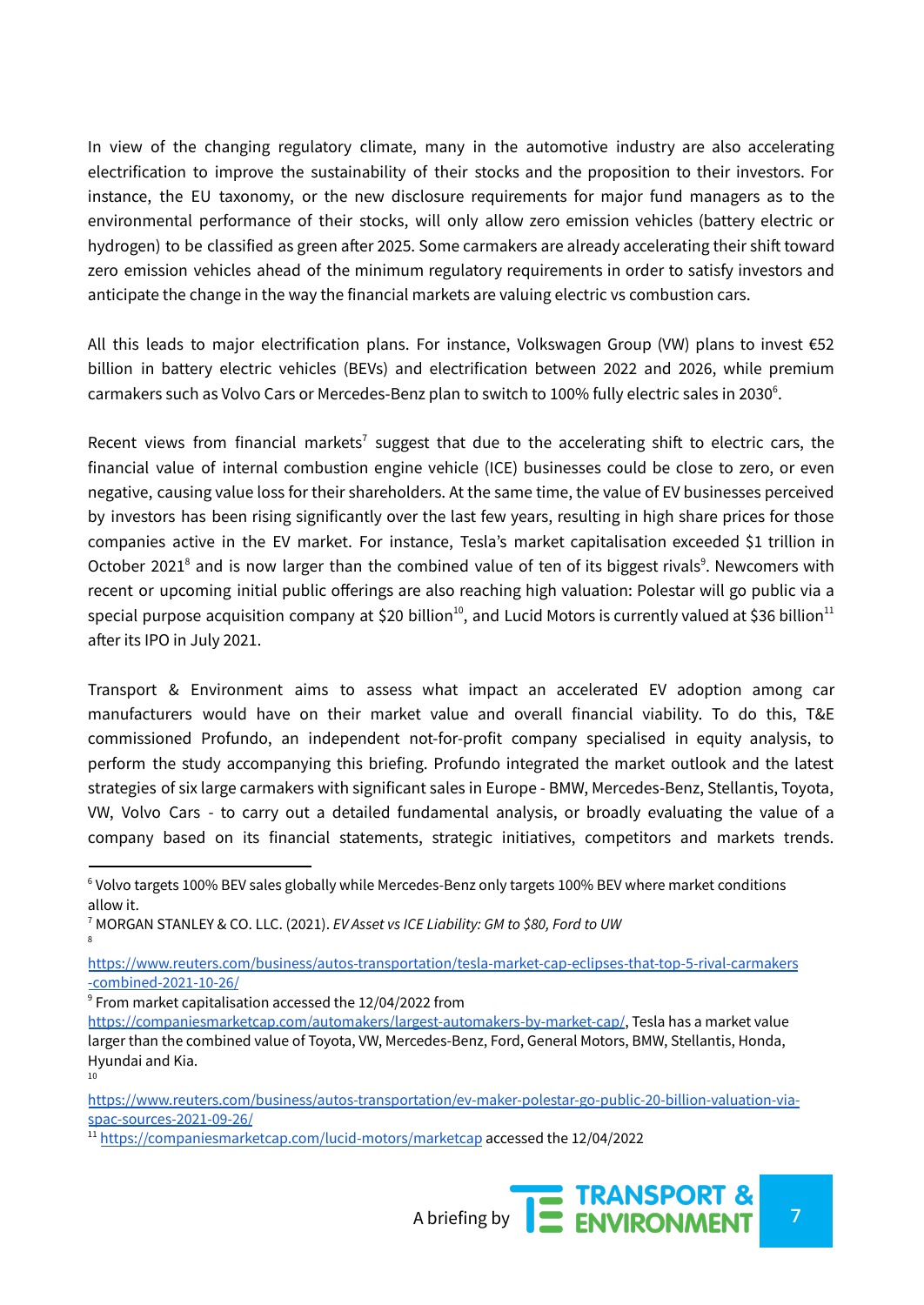In view of the changing regulatory climate, many in the automotive industry are also accelerating electrification to improve the sustainability of their stocks and the proposition to their investors. For instance, the EU taxonomy, or the new disclosure requirements for major fund managers as to the environmental performance of their stocks, will only allow zero emission vehicles (battery electric or hydrogen) to be classified as green after 2025. Some carmakers are already accelerating their shift toward zero emission vehicles ahead of the minimum regulatory requirements in order to satisfy investors and anticipate the change in the way the financial markets are valuing electric vs combustion cars.

All this leads to major electrification plans. For instance, Volkswagen Group (VW) plans to invest €52 billion in battery electric vehicles (BEVs) and electrification between 2022 and 2026, while premium carmakers such as Volvo Cars or Mercedes-Benz plan to switch to 100% fully electric sales in 2030<sup>6</sup>.

Recent views from financial markets<sup>7</sup> suggest that due to the accelerating shift to electric cars, the financial value of internal combustion engine vehicle (ICE) businesses could be close to zero, or even negative, causing value loss for their shareholders. At the same time, the value of EV businesses perceived by investors has been rising significantly over the last few years, resulting in high share prices for those companies active in the EV market. For instance, Tesla's market capitalisation exceeded \$1 trillion in October 2021<sup>8</sup> and is now larger than the combined value of ten of its biggest rivals<sup>9</sup>. Newcomers with recent or upcoming initial public offerings are also reaching high valuation: Polestar will go public via a special purpose acquisition company at \$20 billion $^{10}$ , and Lucid Motors is currently valued at \$36 billion $^{11}$ after its IPO in July 2021.

Transport & Environment aims to assess what impact an accelerated EV adoption among car manufacturers would have on their market value and overall financial viability. To do this, T&E commissioned Profundo, an independent not-for-profit company specialised in equity analysis, to perform the study accompanying this briefing. Profundo integrated the market outlook and the latest strategies of six large carmakers with significant sales in Europe - BMW, Mercedes-Benz, Stellantis, Toyota, VW, Volvo Cars - to carry out a detailed fundamental analysis, or broadly evaluating the value of a company based on its financial statements, strategic initiatives, competitors and markets trends.

10

<sup>&</sup>lt;sup>11</sup> [https://companiesmarketcap.com/lucid-motors/marketcap](https://companiesmarketcap.com/lucid-motors/marketcap/) accessed the 12/04/2022



<sup>6</sup> Volvo targets 100% BEV sales globally while Mercedes-Benz only targets 100% BEV where market conditions allow it.

<sup>8</sup> <sup>7</sup> MORGAN STANLEY & CO. LLC. (2021). *EV Asset vs ICE Liability: GM to \$80, Ford to UW*

[https://www.reuters.com/business/autos-transportation/tesla-market-cap-eclipses-that-top-5-rival-carmakers](https://www.reuters.com/business/autos-transportation/tesla-market-cap-eclipses-that-top-5-rival-carmakers-combined-2021-10-26/) [-combined-2021-10-26/](https://www.reuters.com/business/autos-transportation/tesla-market-cap-eclipses-that-top-5-rival-carmakers-combined-2021-10-26/)

 $9$  From market capitalisation accessed the 12/04/2022 from

<https://companiesmarketcap.com/automakers/largest-automakers-by-market-cap/>, Tesla has a market value larger than the combined value of Toyota, VW, Mercedes-Benz, Ford, General Motors, BMW, Stellantis, Honda, Hyundai and Kia.

[https://www.reuters.com/business/autos-transportation/ev-maker-polestar-go-public-20-billion-valuation-via](https://www.reuters.com/business/autos-transportation/ev-maker-polestar-go-public-20-billion-valuation-via-spac-sources-2021-09-26/)[spac-sources-2021-09-26/](https://www.reuters.com/business/autos-transportation/ev-maker-polestar-go-public-20-billion-valuation-via-spac-sources-2021-09-26/)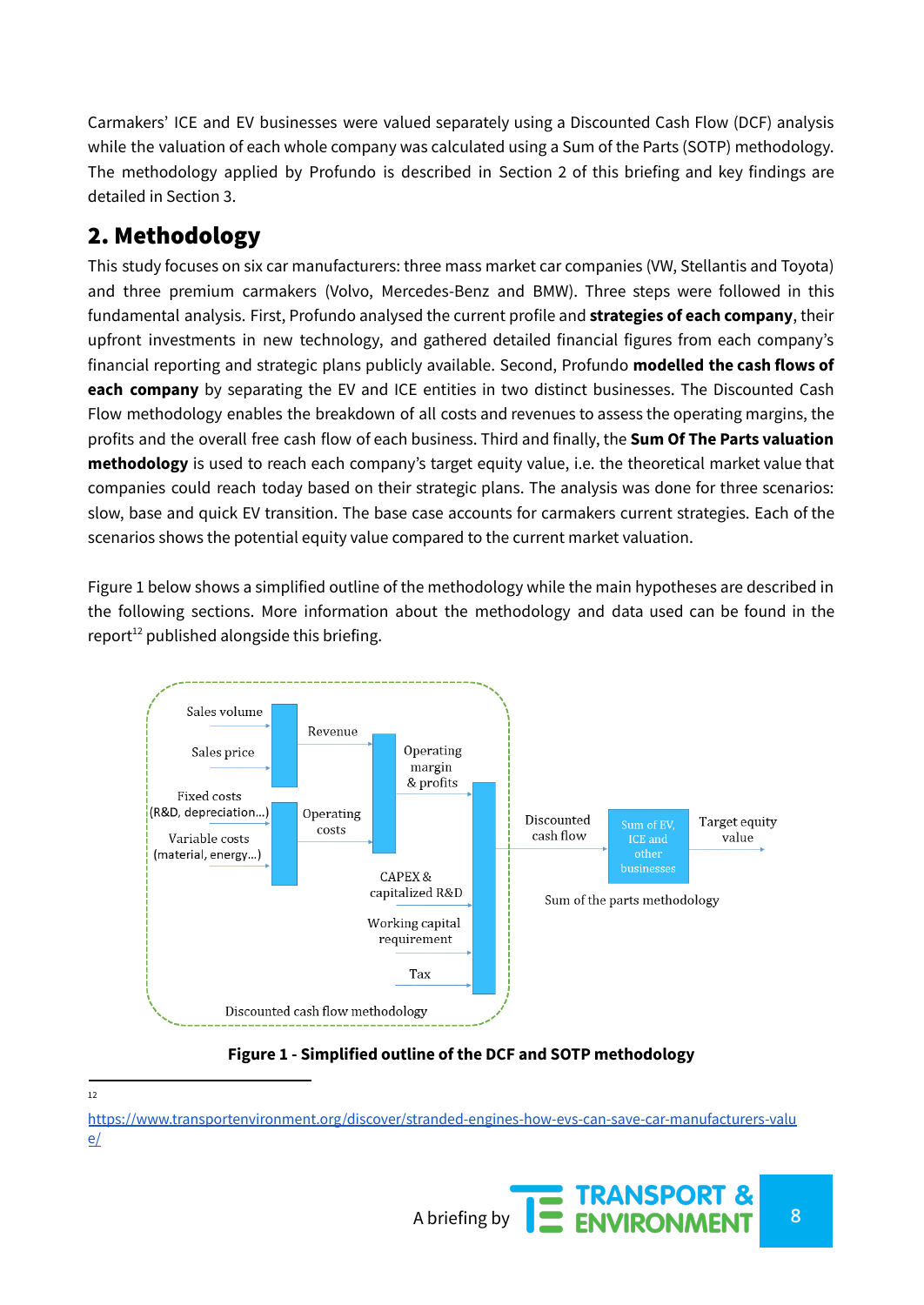Carmakers' ICE and EV businesses were valued separately using a Discounted Cash Flow (DCF) analysis while the valuation of each whole company was calculated using a Sum of the Parts (SOTP) methodology. The methodology applied by Profundo is described in Section 2 of this briefing and key findings are detailed in Section 3.

## 2. Methodology

This study focuses on six car manufacturers: three mass market car companies (VW, Stellantis and Toyota) and three premium carmakers (Volvo, Mercedes-Benz and BMW). Three steps were followed in this fundamental analysis. First, Profundo analysed the current profile and **strategies of each company**, their upfront investments in new technology, and gathered detailed financial figures from each company's financial reporting and strategic plans publicly available. Second, Profundo **modelled the cash flows of each company** by separating the EV and ICE entities in two distinct businesses. The Discounted Cash Flow methodology enables the breakdown of all costs and revenues to assess the operating margins, the profits and the overall free cash flow of each business. Third and finally, the **Sum Of The Parts valuation methodology** is used to reach each company's target equity value, i.e. the theoretical market value that companies could reach today based on their strategic plans. The analysis was done for three scenarios: slow, base and quick EV transition. The base case accounts for carmakers current strategies. Each of the scenarios shows the potential equity value compared to the current market valuation.

Figure 1 below shows a simplified outline of the methodology while the main hypotheses are described in the following sections. More information about the methodology and data used can be found in the report $^{12}$  published alongside this briefing.



**Figure 1 - Simplified outline of the DCF and SOTP methodology**

[https://www.transportenvironment.org/discover/stranded-engines-how-evs-can-save-car-manufacturers-valu](https://www.transportenvironment.org/discover/stranded-engines-how-evs-can-save-car-manufacturers-value/) [e/](https://www.transportenvironment.org/discover/stranded-engines-how-evs-can-save-car-manufacturers-value/)



 $12$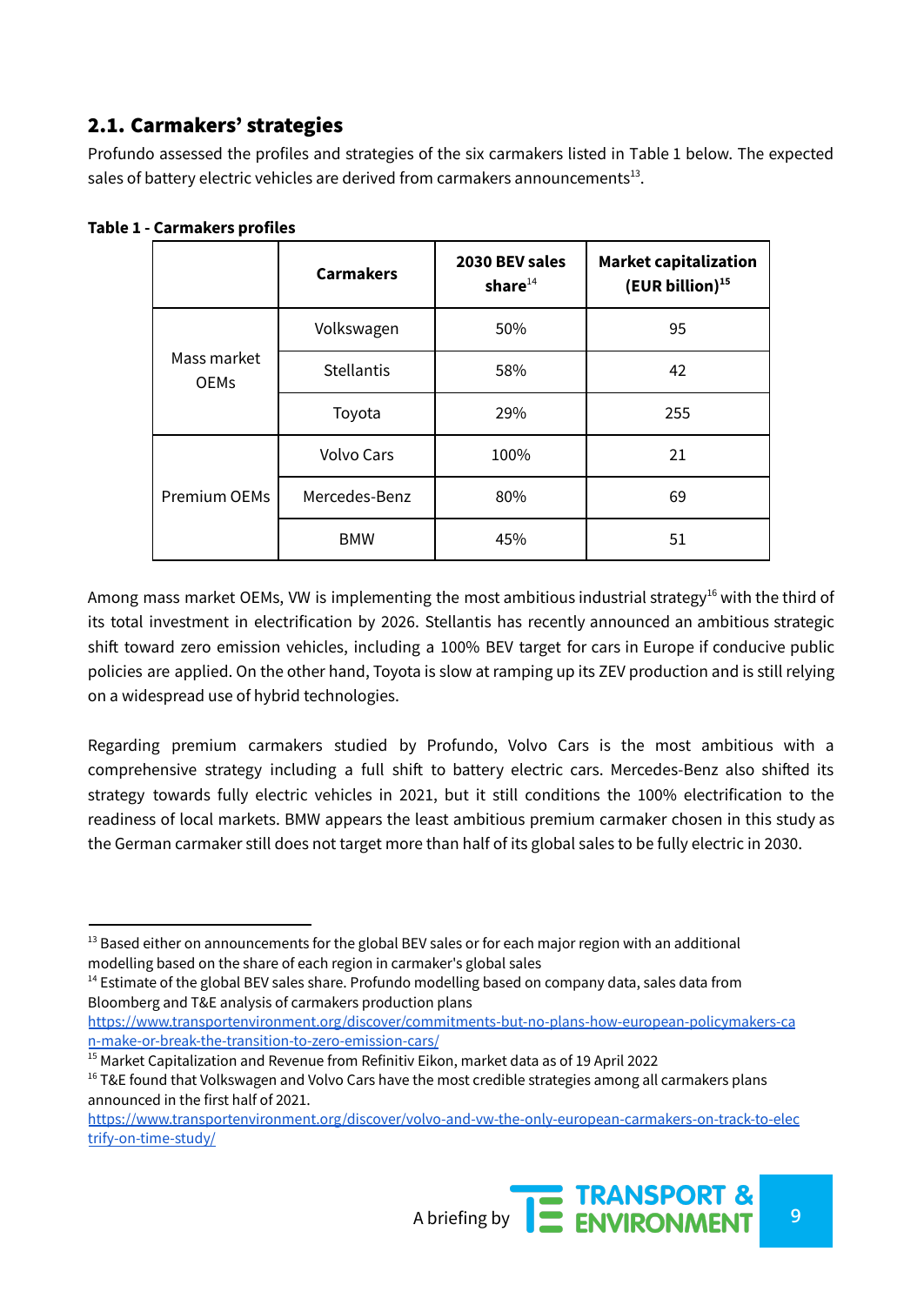## 2.1. Carmakers' strategies

Profundo assessed the profiles and strategies of the six carmakers listed in Table 1 below. The expected sales of battery electric vehicles are derived from carmakers announcements $^{13}$ .

|                            | <b>Carmakers</b>  | 2030 BEV sales<br>share $^{14}$ | <b>Market capitalization</b><br>$(EUR billion)^{15}$ |
|----------------------------|-------------------|---------------------------------|------------------------------------------------------|
| Mass market<br><b>OEMs</b> | Volkswagen        | 50%                             | 95                                                   |
|                            | <b>Stellantis</b> | 58%                             | 42                                                   |
|                            | Toyota            | 29%                             | 255                                                  |
| Premium OEMs               | <b>Volvo Cars</b> | 100%                            | 21                                                   |
|                            | Mercedes-Benz     | 80%                             | 69                                                   |
|                            | <b>BMW</b>        | 45%                             | 51                                                   |

**Table 1 - Carmakers profiles**

Among mass market OEMs, VW is implementing the most ambitious industrial strategy<sup>16</sup> with the third of its total investment in electrification by 2026. Stellantis has recently announced an ambitious strategic shift toward zero emission vehicles, including a 100% BEV target for cars in Europe if conducive public policies are applied. On the other hand, Toyota is slow at ramping up its ZEV production and is still relying on a widespread use of hybrid technologies.

Regarding premium carmakers studied by Profundo, Volvo Cars is the most ambitious with a comprehensive strategy including a full shift to battery electric cars. Mercedes-Benz also shifted its strategy towards fully electric vehicles in 2021, but it still conditions the 100% electrification to the readiness of local markets. BMW appears the least ambitious premium carmaker chosen in this study as the German carmaker still does not target more than half of its global sales to be fully electric in 2030.

[https://www.transportenvironment.org/discover/commitments-but-no-plans-how-european-policymakers-ca](https://www.transportenvironment.org/discover/commitments-but-no-plans-how-european-policymakers-can-make-or-break-the-transition-to-zero-emission-cars/) [n-make-or-break-the-transition-to-zero-emission-cars/](https://www.transportenvironment.org/discover/commitments-but-no-plans-how-european-policymakers-can-make-or-break-the-transition-to-zero-emission-cars/)

[https://www.transportenvironment.org/discover/volvo-and-vw-the-only-european-carmakers-on-track-to-elec](https://www.transportenvironment.org/discover/volvo-and-vw-the-only-european-carmakers-on-track-to-electrify-on-time-study/) [trify-on-time-study/](https://www.transportenvironment.org/discover/volvo-and-vw-the-only-european-carmakers-on-track-to-electrify-on-time-study/)



<sup>&</sup>lt;sup>13</sup> Based either on announcements for the global BEV sales or for each major region with an additional modelling based on the share of each region in carmaker's global sales

 $<sup>14</sup>$  Estimate of the global BEV sales share. Profundo modelling based on company data, sales data from</sup> Bloomberg and T&E analysis of carmakers production plans

 $15$  Market Capitalization and Revenue from Refinitiv Eikon, market data as of 19 April 2022

 $16$  T&E found that Volkswagen and Volvo Cars have the most credible strategies among all carmakers plans announced in the first half of 2021.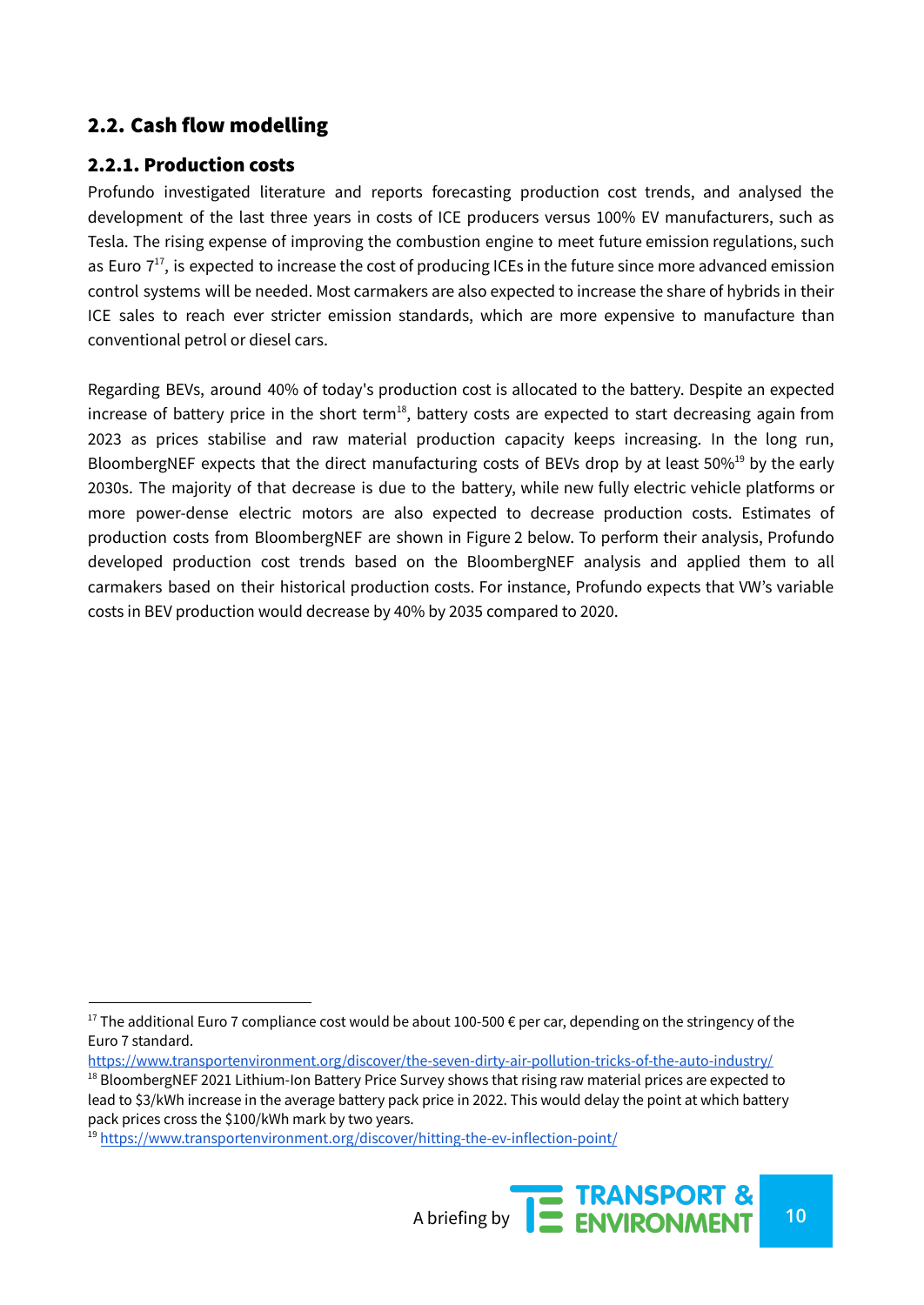## 2.2. Cash flow modelling

#### 2.2.1. Production costs

Profundo investigated literature and reports forecasting production cost trends, and analysed the development of the last three years in costs of ICE producers versus 100% EV manufacturers, such as Tesla. The rising expense of improving the combustion engine to meet future emission regulations, such as Euro  $7^{17}$ , is expected to increase the cost of producing ICEs in the future since more advanced emission control systems will be needed. Most carmakers are also expected to increase the share of hybrids in their ICE sales to reach ever stricter emission standards, which are more expensive to manufacture than conventional petrol or diesel cars.

Regarding BEVs, around 40% of today's production cost is allocated to the battery. Despite an expected increase of battery price in the short term $^{18}$ , battery costs are expected to start decreasing again from 2023 as prices stabilise and raw material production capacity keeps increasing. In the long run, BloombergNEF expects that the direct manufacturing costs of BEVs drop by at least 50% $^{19}$  by the early 2030s. The majority of that decrease is due to the battery, while new fully electric vehicle platforms or more power-dense electric motors are also expected to decrease production costs. Estimates of production costs from BloombergNEF are shown in Figure 2 below. To perform their analysis, Profundo developed production cost trends based on the BloombergNEF analysis and applied them to all carmakers based on their historical production costs. For instance, Profundo expects that VW's variable costs in BEV production would decrease by 40% by 2035 compared to 2020.

<sup>19</sup> <https://www.transportenvironment.org/discover/hitting-the-ev-inflection-point/>



<sup>&</sup>lt;sup>17</sup> The additional Euro 7 compliance cost would be about 100-500  $\epsilon$  per car, depending on the stringency of the Euro 7 standard.

<sup>&</sup>lt;sup>18</sup> BloombergNEF 2021 Lithium-Ion Battery Price Survey shows that rising raw material prices are expected to lead to \$3/kWh increase in the average battery pack price in 2022. This would delay the point at which battery pack prices cross the \$100/kWh mark by two years. <https://www.transportenvironment.org/discover/the-seven-dirty-air-pollution-tricks-of-the-auto-industry/>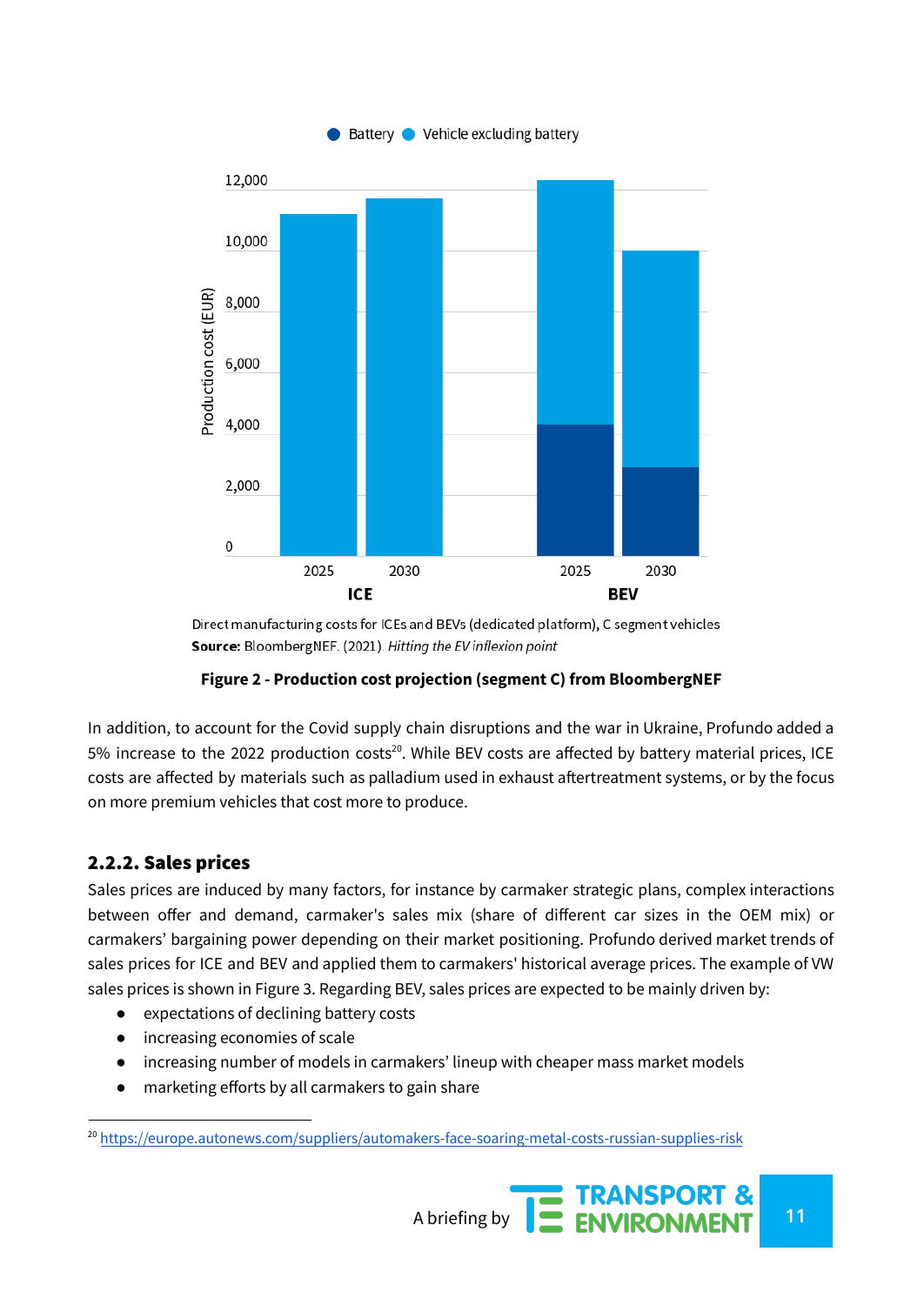

Direct manufacturing costs for ICEs and BEVs (dedicated platform), C segment vehicles Source: BloombergNEF. (2021). Hitting the EV inflexion point

#### **Figure 2 - Production cost projection (segment C) from BloombergNEF**

In addition, to account for the Covid supply chain disruptions and the war in Ukraine, Profundo added a 5% increase to the 2022 production costs<sup>20</sup>. While BEV costs are affected by battery material prices, ICE costs are affected by materials such as palladium used in exhaust aftertreatment systems, or by the focus on more premium vehicles that cost more to produce.

#### 2.2.2. Sales prices

Sales prices are induced by many factors, for instance by carmaker strategic plans, complex interactions between offer and demand, carmaker's sales mix (share of different car sizes in the OEM mix) or carmakers' bargaining power depending on their market positioning. Profundo derived market trends of sales prices for ICE and BEV and applied them to carmakers' historical average prices. The example of VW sales prices is shown in Figure 3. Regarding BEV, sales prices are expected to be mainly driven by:

- expectations of declining battery costs
- increasing economies of scale
- increasing number of models in carmakers' lineup with cheaper mass market models
- marketing efforts by all carmakers to gain share

<sup>20</sup> <https://europe.autonews.com/suppliers/automakers-face-soaring-metal-costs-russian-supplies-risk>

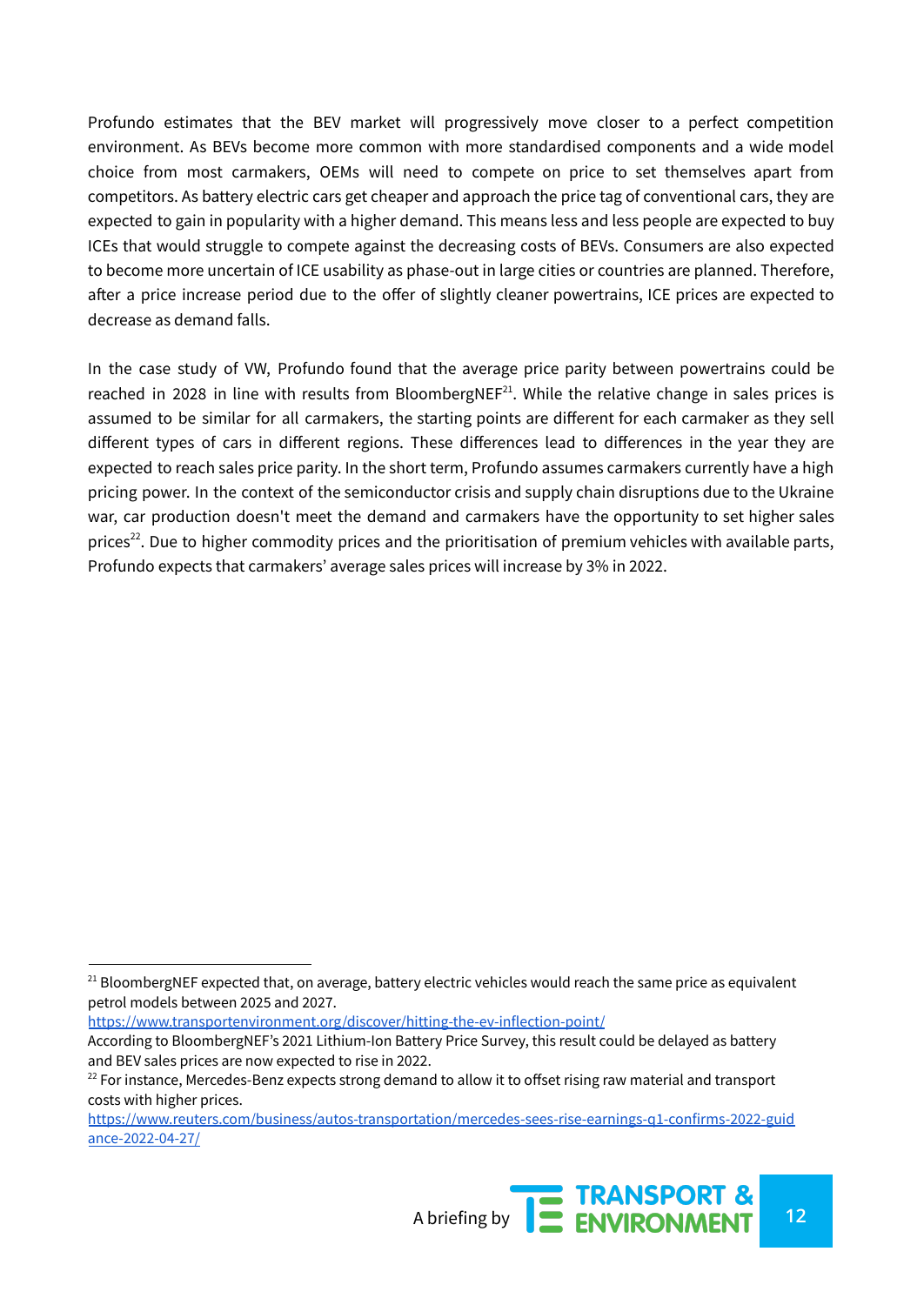Profundo estimates that the BEV market will progressively move closer to a perfect competition environment. As BEVs become more common with more standardised components and a wide model choice from most carmakers, OEMs will need to compete on price to set themselves apart from competitors. As battery electric cars get cheaper and approach the price tag of conventional cars, they are expected to gain in popularity with a higher demand. This means less and less people are expected to buy ICEs that would struggle to compete against the decreasing costs of BEVs. Consumers are also expected to become more uncertain of ICE usability as phase-out in large cities or countries are planned. Therefore, after a price increase period due to the offer of slightly cleaner powertrains, ICE prices are expected to decrease as demand falls.

In the case study of VW, Profundo found that the average price parity between powertrains could be reached in 2028 in line with results from BloombergNE $F^{21}$ . While the relative change in sales prices is assumed to be similar for all carmakers, the starting points are different for each carmaker as they sell different types of cars in different regions. These differences lead to differences in the year they are expected to reach sales price parity. In the short term, Profundo assumes carmakers currently have a high pricing power. In the context of the semiconductor crisis and supply chain disruptions due to the Ukraine war, car production doesn't meet the demand and carmakers have the opportunity to set higher sales prices<sup>22</sup>. Due to higher commodity prices and the prioritisation of premium vehicles with available parts, Profundo expects that carmakers' average sales prices will increase by 3% in 2022.

<https://www.transportenvironment.org/discover/hitting-the-ev-inflection-point/>

[https://www.reuters.com/business/autos-transportation/mercedes-sees-rise-earnings-q1-confirms-2022-guid](https://www.reuters.com/business/autos-transportation/mercedes-sees-rise-earnings-q1-confirms-2022-guidance-2022-04-27/) [ance-2022-04-27/](https://www.reuters.com/business/autos-transportation/mercedes-sees-rise-earnings-q1-confirms-2022-guidance-2022-04-27/)



<sup>&</sup>lt;sup>21</sup> BloombergNEF expected that, on average, battery electric vehicles would reach the same price as equivalent petrol models between 2025 and 2027.

According to BloombergNEF's 2021 Lithium-Ion Battery Price Survey, this result could be delayed as battery and BEV sales prices are now expected to rise in 2022.

 $22$  For instance, Mercedes-Benz expects strong demand to allow it to offset rising raw material and transport costs with higher prices.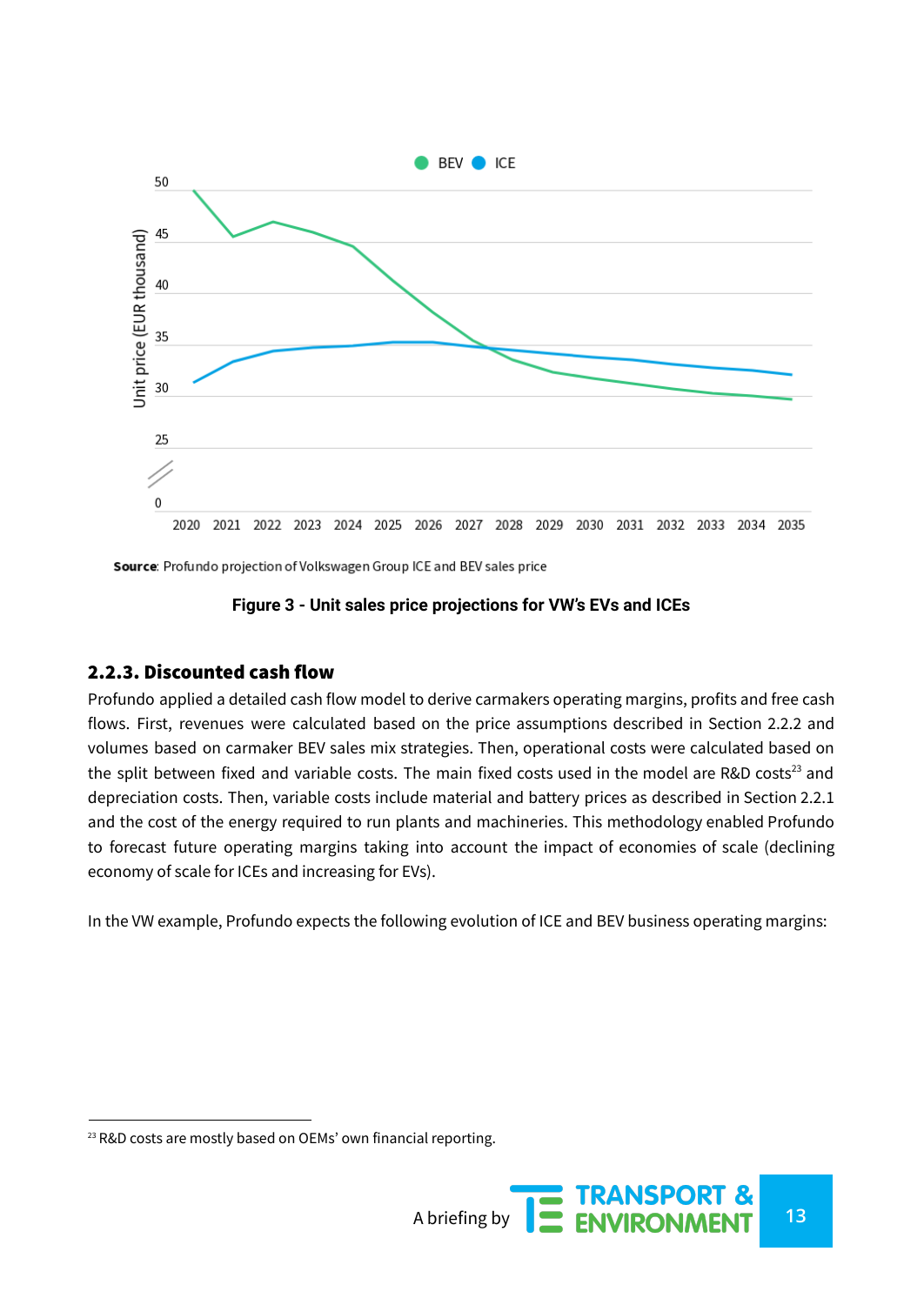

Source: Profundo projection of Volkswagen Group ICE and BEV sales price

#### **Figure 3 - Unit sales price projections for VW's EVs and ICEs**

#### 2.2.3. Discounted cash flow

Profundo applied a detailed cash flow model to derive carmakers operating margins, profits and free cash flows. First, revenues were calculated based on the price assumptions described in Section 2.2.2 and volumes based on carmaker BEV sales mix strategies. Then, operational costs were calculated based on the split between fixed and variable costs. The main fixed costs used in the model are R&D costs<sup>23</sup> and depreciation costs. Then, variable costs include material and battery prices as described in Section 2.2.1 and the cost of the energy required to run plants and machineries. This methodology enabled Profundo to forecast future operating margins taking into account the impact of economies of scale (declining economy of scale for ICEs and increasing for EVs).

In the VW example, Profundo expects the following evolution of ICE and BEV business operating margins:

<sup>&</sup>lt;sup>23</sup> R&D costs are mostly based on OEMs' own financial reporting.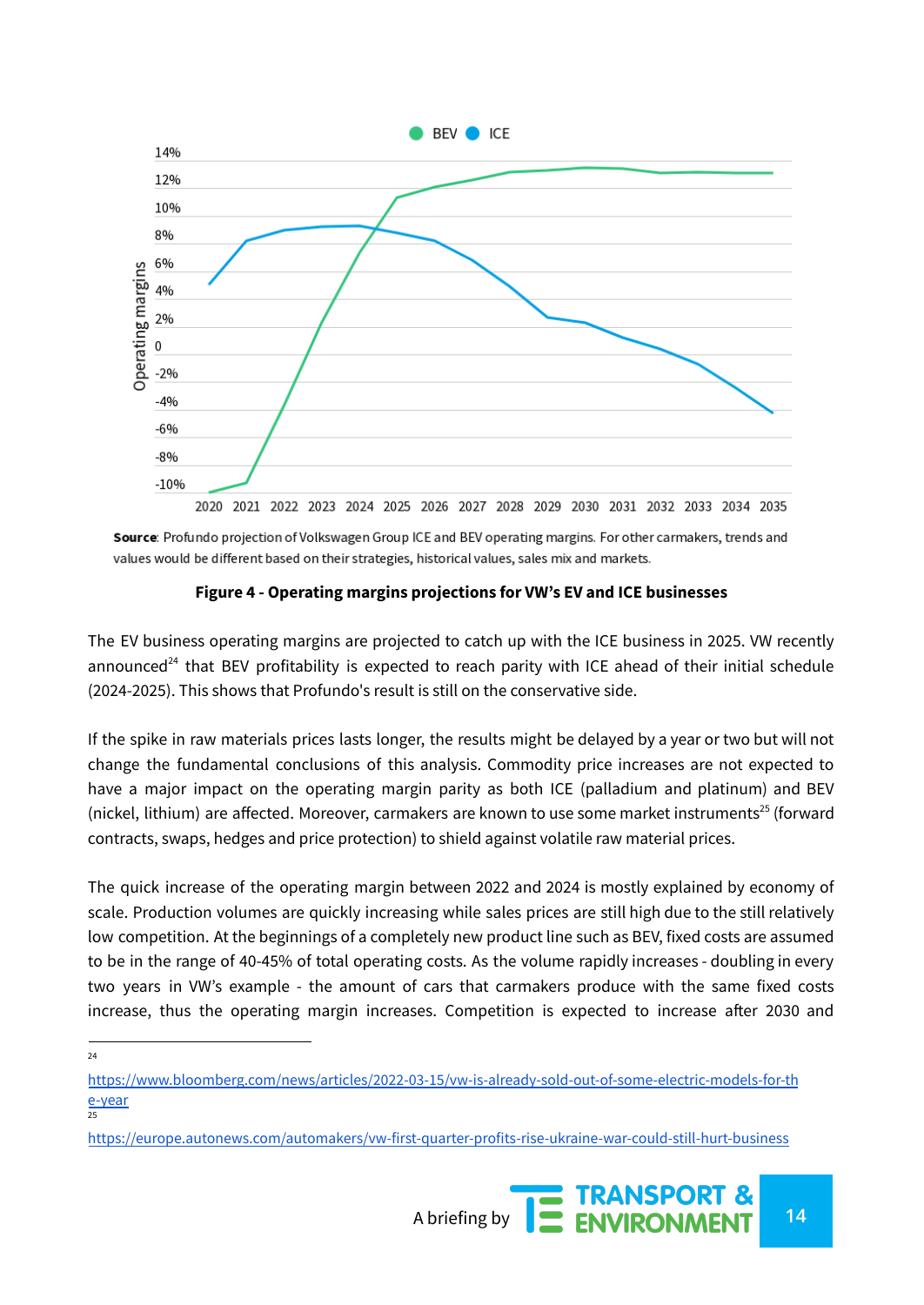

Source: Profundo projection of Volkswagen Group ICE and BEV operating margins. For other carmakers, trends and values would be different based on their strategies, historical values, sales mix and markets.

#### **Figure 4 - Operating margins projections for VW's EV and ICE businesses**

The EV business operating margins are projected to catch up with the ICE business in 2025. VW recently announced<sup>24</sup> that BEV profitability is expected to reach parity with ICE ahead of their initial schedule (2024-2025). This shows that Profundo's result is still on the conservative side.

If the spike in raw materials prices lasts longer, the results might be delayed by a year or two but will not change the fundamental conclusions of this analysis. Commodity price increases are not expected to have a major impact on the operating margin parity as both ICE (palladium and platinum) and BEV (nickel, lithium) are affected. Moreover, carmakers are known to use some market instruments 25 (forward contracts, swaps, hedges and price protection) to shield against volatile raw material prices.

The quick increase of the operating margin between 2022 and 2024 is mostly explained by economy of scale. Production volumes are quickly increasing while sales prices are still high due to the still relatively low competition. At the beginnings of a completely new product line such as BEV, fixed costs are assumed to be in the range of 40-45% of total operating costs. As the volume rapidly increases - doubling in every two years in VW's example - the amount of cars that carmakers produce with the same fixed costs increase, thus the operating margin increases. Competition is expected to increase after 2030 and

 $24$ 

<https://europe.autonews.com/automakers/vw-first-quarter-profits-rise-ukraine-war-could-still-hurt-business>



<sup>&</sup>lt;mark>[e-year](https://www.bloomberg.com/news/articles/2022-03-15/vw-is-already-sold-out-of-some-electric-models-for-the-year)</mark><br>25 [https://www.bloomberg.com/news/articles/2022-03-15/vw-is-already-sold-out-of-some-electric-models-for-th](https://www.bloomberg.com/news/articles/2022-03-15/vw-is-already-sold-out-of-some-electric-models-for-the-year)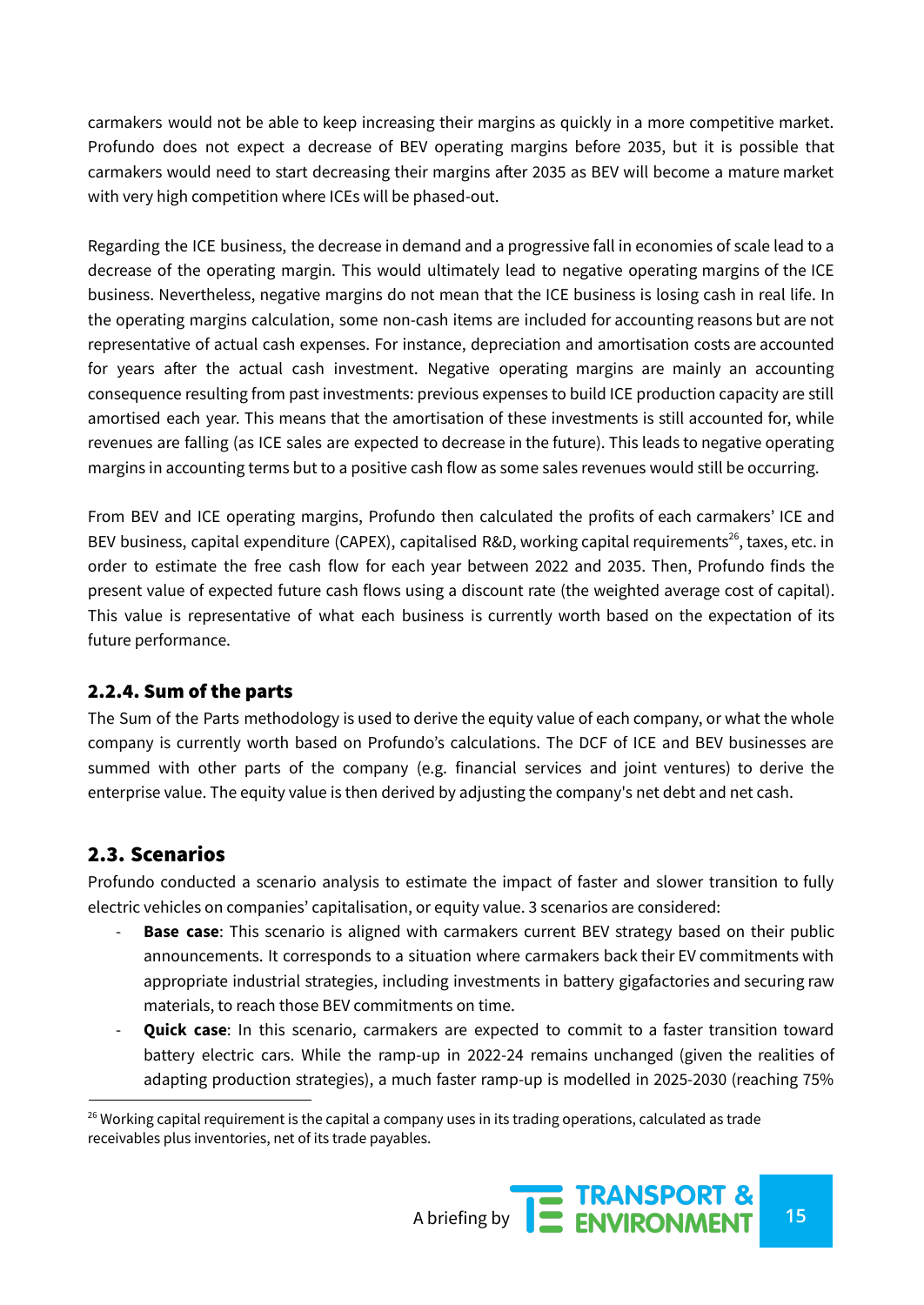carmakers would not be able to keep increasing their margins as quickly in a more competitive market. Profundo does not expect a decrease of BEV operating margins before 2035, but it is possible that carmakers would need to start decreasing their margins after 2035 as BEV will become a mature market with very high competition where ICEs will be phased-out.

Regarding the ICE business, the decrease in demand and a progressive fall in economies of scale lead to a decrease of the operating margin. This would ultimately lead to negative operating margins of the ICE business. Nevertheless, negative margins do not mean that the ICE business is losing cash in real life. In the operating margins calculation, some non-cash items are included for accounting reasons but are not representative of actual cash expenses. For instance, depreciation and amortisation costs are accounted for years after the actual cash investment. Negative operating margins are mainly an accounting consequence resulting from past investments: previous expenses to build ICE production capacity are still amortised each year. This means that the amortisation of these investments is still accounted for, while revenues are falling (as ICE sales are expected to decrease in the future). This leads to negative operating margins in accounting terms but to a positive cash flow as some sales revenues would still be occurring.

From BEV and ICE operating margins, Profundo then calculated the profits of each carmakers' ICE and BEV business, capital expenditure (CAPEX), capitalised R&D, working capital requirements<sup>26</sup>, taxes, etc. in order to estimate the free cash flow for each year between 2022 and 2035. Then, Profundo finds the present value of expected future cash flows using a discount rate (the weighted average cost of capital). This value is representative of what each business is currently worth based on the expectation of its future performance.

#### 2.2.4. Sum of the parts

The Sum of the Parts methodology is used to derive the equity value of each company, or what the whole company is currently worth based on Profundo's calculations. The DCF of ICE and BEV businesses are summed with other parts of the company (e.g. financial services and joint ventures) to derive the enterprise value. The equity value is then derived by adjusting the company's net debt and net cash.

## 2.3. Scenarios

Profundo conducted a scenario analysis to estimate the impact of faster and slower transition to fully electric vehicles on companies' capitalisation, or equity value. 3 scenarios are considered:

- **Base case**: This scenario is aligned with carmakers current BEV strategy based on their public announcements. It corresponds to a situation where carmakers back their EV commitments with appropriate industrial strategies, including investments in battery gigafactories and securing raw materials, to reach those BEV commitments on time.
- **Quick case**: In this scenario, carmakers are expected to commit to a faster transition toward battery electric cars. While the ramp-up in 2022-24 remains unchanged (given the realities of adapting production strategies), a much faster ramp-up is modelled in 2025-2030 (reaching 75%

<sup>&</sup>lt;sup>26</sup> Working capital requirement is the capital a company uses in its trading operations, calculated as trade receivables plus inventories, net of its trade payables.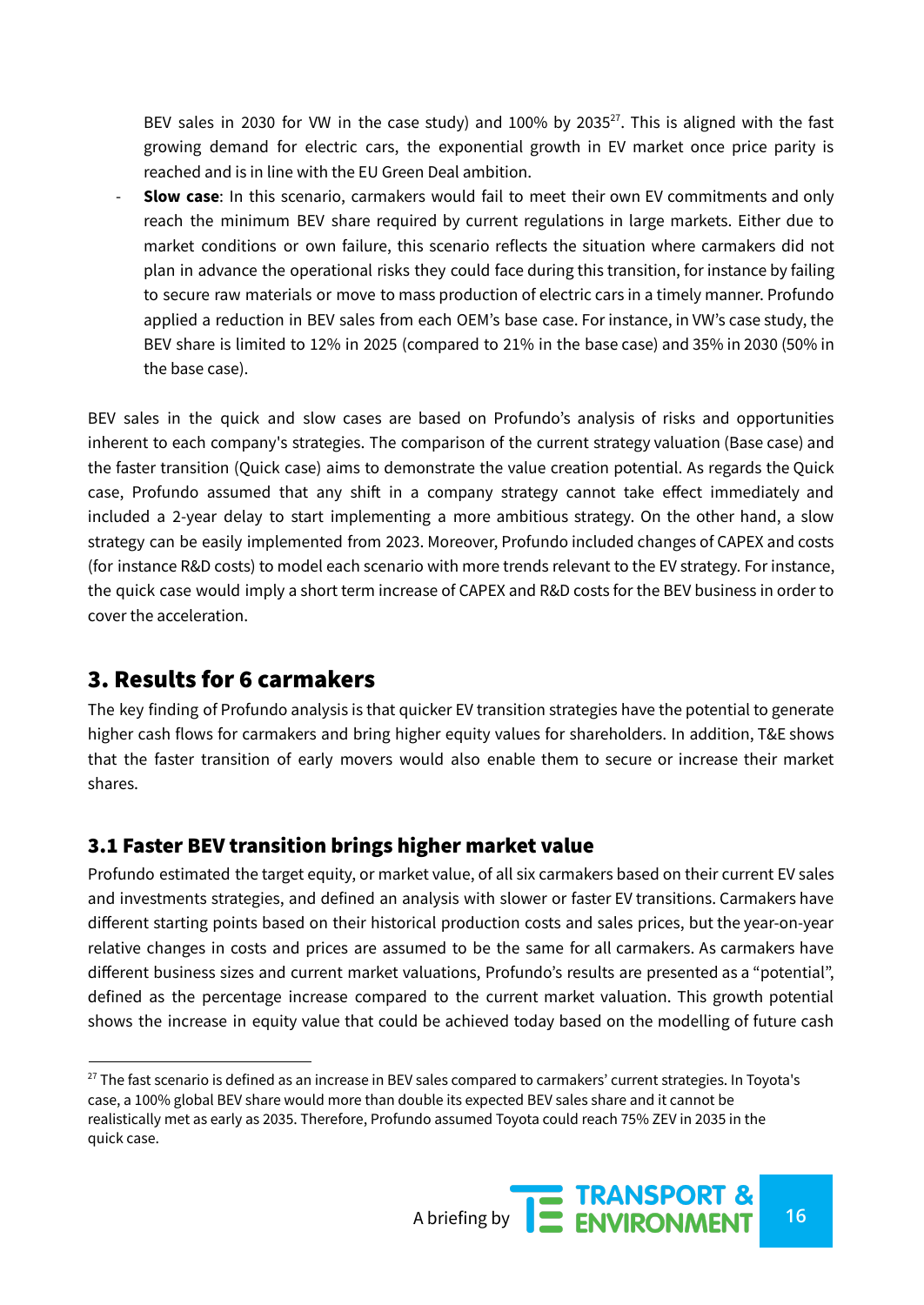BEV sales in 2030 for VW in the case study) and  $100\%$  by 2035 $^{27}$ . This is aligned with the fast growing demand for electric cars, the exponential growth in EV market once price parity is reached and is in line with the EU Green Deal ambition.

- **Slow case**: In this scenario, carmakers would fail to meet their own EV commitments and only reach the minimum BEV share required by current regulations in large markets. Either due to market conditions or own failure, this scenario reflects the situation where carmakers did not plan in advance the operational risks they could face during this transition, for instance by failing to secure raw materials or move to mass production of electric cars in a timely manner. Profundo applied a reduction in BEV sales from each OEM's base case. For instance, in VW's case study, the BEV share is limited to 12% in 2025 (compared to 21% in the base case) and 35% in 2030 (50% in the base case).

BEV sales in the quick and slow cases are based on Profundo's analysis of risks and opportunities inherent to each company's strategies. The comparison of the current strategy valuation (Base case) and the faster transition (Quick case) aims to demonstrate the value creation potential. As regards the Quick case, Profundo assumed that any shift in a company strategy cannot take effect immediately and included a 2-year delay to start implementing a more ambitious strategy. On the other hand, a slow strategy can be easily implemented from 2023. Moreover, Profundo included changes of CAPEX and costs (for instance R&D costs) to model each scenario with more trends relevant to the EV strategy. For instance, the quick case would imply a short term increase of CAPEX and R&D costs for the BEV business in order to cover the acceleration.

## 3. Results for 6 carmakers

The key finding of Profundo analysis is that quicker EV transition strategies have the potential to generate higher cash flows for carmakers and bring higher equity values for shareholders. In addition, T&E shows that the faster transition of early movers would also enable them to secure or increase their market shares.

## 3.1 Faster BEV transition brings higher market value

Profundo estimated the target equity, or market value, of all six carmakers based on their current EV sales and investments strategies, and defined an analysis with slower or faster EV transitions. Carmakers have different starting points based on their historical production costs and sales prices, but the year-on-year relative changes in costs and prices are assumed to be the same for all carmakers. As carmakers have different business sizes and current market valuations, Profundo's results are presented as a "potential", defined as the percentage increase compared to the current market valuation. This growth potential shows the increase in equity value that could be achieved today based on the modelling of future cash

<sup>&</sup>lt;sup>27</sup> The fast scenario is defined as an increase in BEV sales compared to carmakers' current strategies. In Toyota's case, a 100% global BEV share would more than double its expected BEV sales share and it cannot be realistically met as early as 2035. Therefore, Profundo assumed Toyota could reach 75% ZEV in 2035 in the quick case.

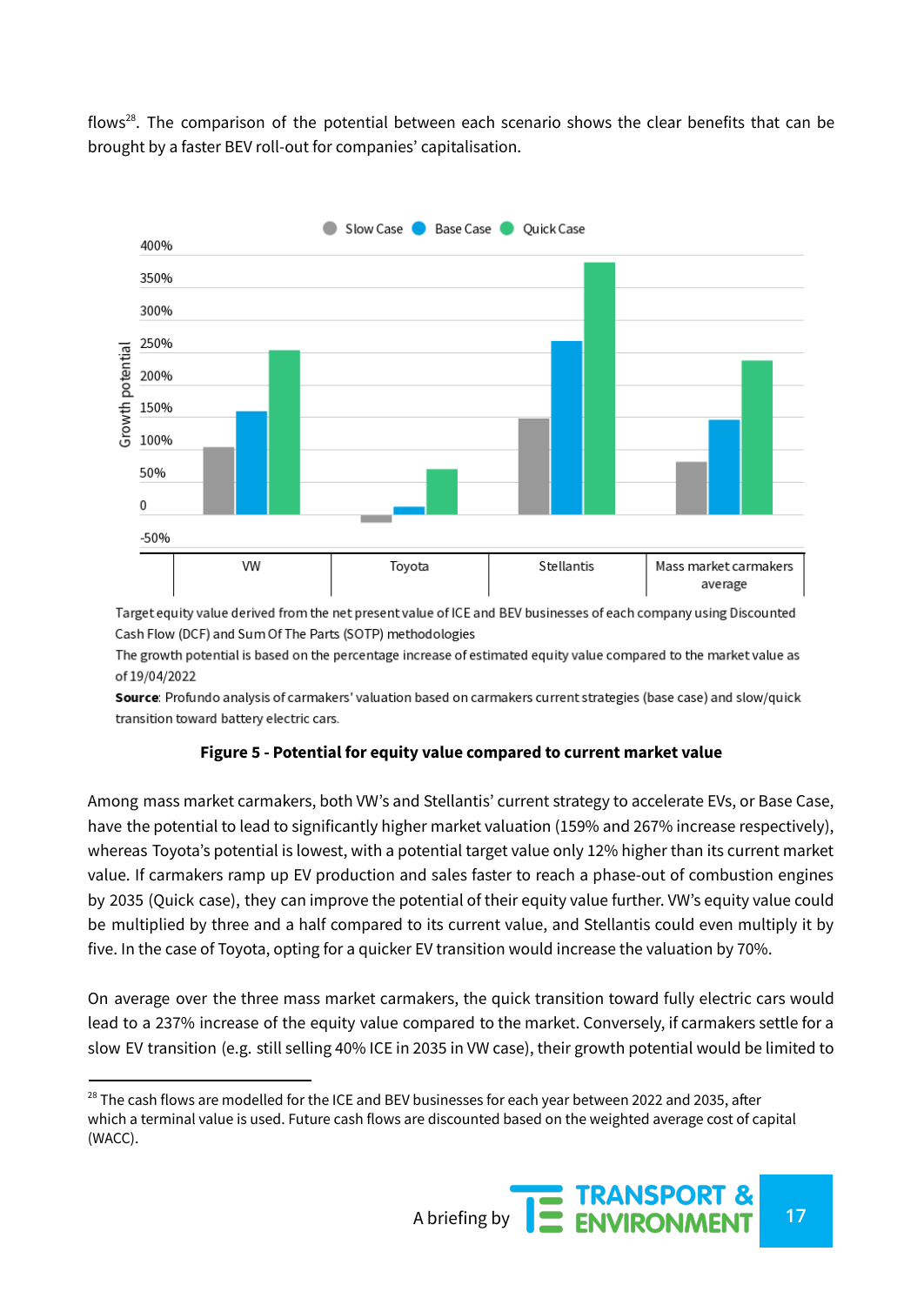flows<sup>28</sup>. The comparison of the potential between each scenario shows the clear benefits that can be brought by a faster BEV roll-out for companies' capitalisation.



Target equity value derived from the net present value of ICE and BEV businesses of each company using Discounted Cash Flow (DCF) and Sum Of The Parts (SOTP) methodologies

The growth potential is based on the percentage increase of estimated equity value compared to the market value as of 19/04/2022

Source: Profundo analysis of carmakers' valuation based on carmakers current strategies (base case) and slow/quick transition toward battery electric cars.

#### **Figure 5 - Potential for equity value compared to current market value**

Among mass market carmakers, both VW's and Stellantis' current strategy to accelerate EVs, or Base Case, have the potential to lead to significantly higher market valuation (159% and 267% increase respectively), whereas Toyota's potential is lowest, with a potential target value only 12% higher than its current market value. If carmakers ramp up EV production and sales faster to reach a phase-out of combustion engines by 2035 (Quick case), they can improve the potential of their equity value further. VW's equity value could be multiplied by three and a half compared to its current value, and Stellantis could even multiply it by five. In the case of Toyota, opting for a quicker EV transition would increase the valuation by 70%.

On average over the three mass market carmakers, the quick transition toward fully electric cars would lead to a 237% increase of the equity value compared to the market. Conversely, if carmakers settle for a slow EV transition (e.g. still selling 40% ICE in 2035 in VW case), their growth potential would be limited to

 $28$  The cash flows are modelled for the ICE and BEV businesses for each year between 2022 and 2035, after which a terminal value is used. Future cash flows are discounted based on the weighted average cost of capital (WACC).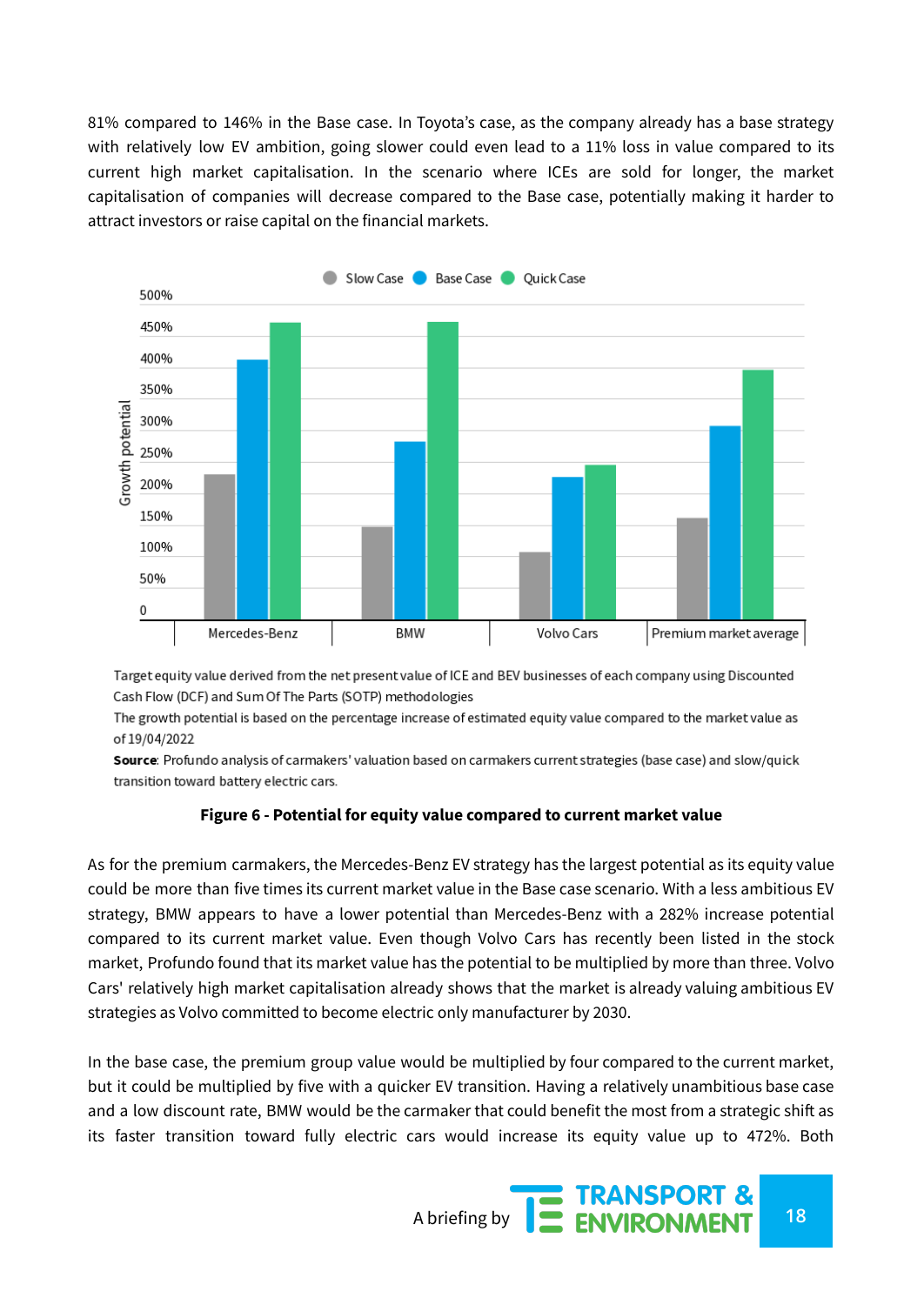81% compared to 146% in the Base case. In Toyota's case, as the company already has a base strategy with relatively low EV ambition, going slower could even lead to a 11% loss in value compared to its current high market capitalisation. In the scenario where ICEs are sold for longer, the market capitalisation of companies will decrease compared to the Base case, potentially making it harder to attract investors or raise capital on the financial markets.



Target equity value derived from the net present value of ICE and BEV businesses of each company using Discounted Cash Flow (DCF) and Sum Of The Parts (SOTP) methodologies

The growth potential is based on the percentage increase of estimated equity value compared to the market value as of 19/04/2022

Source: Profundo analysis of carmakers' valuation based on carmakers current strategies (base case) and slow/quick transition toward battery electric cars.

#### **Figure 6 - Potential for equity value compared to current market value**

As for the premium carmakers, the Mercedes-Benz EV strategy has the largest potential as its equity value could be more than five times its current market value in the Base case scenario. With a less ambitious EV strategy, BMW appears to have a lower potential than Mercedes-Benz with a 282% increase potential compared to its current market value. Even though Volvo Cars has recently been listed in the stock market, Profundo found that its market value has the potential to be multiplied by more than three. Volvo Cars' relatively high market capitalisation already shows that the market is already valuing ambitious EV strategies as Volvo committed to become electric only manufacturer by 2030.

In the base case, the premium group value would be multiplied by four compared to the current market, but it could be multiplied by five with a quicker EV transition. Having a relatively unambitious base case and a low discount rate, BMW would be the carmaker that could benefit the most from a strategic shift as its faster transition toward fully electric cars would increase its equity value up to 472%. Both

A briefing by **18 ENVIRONMENT** 18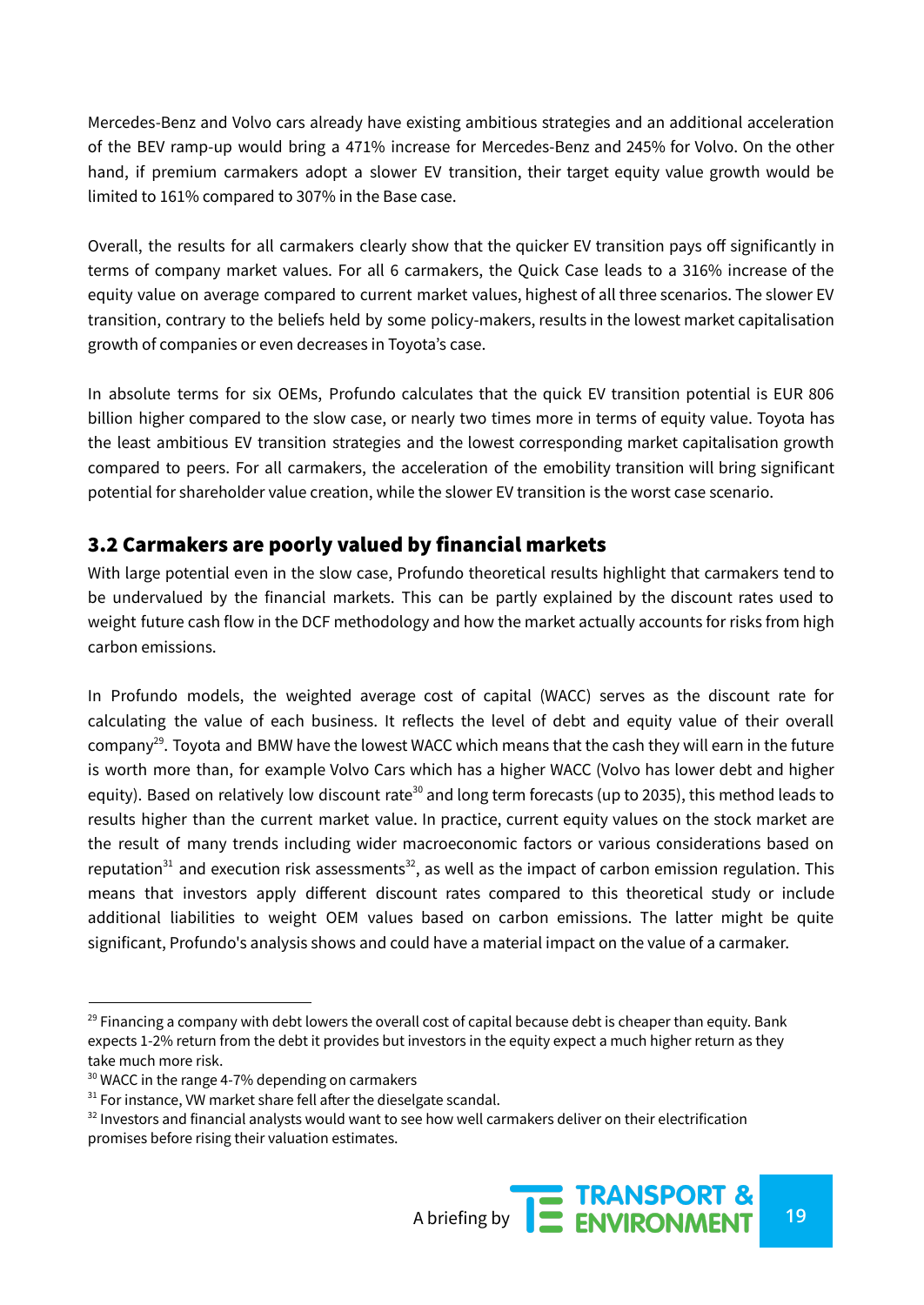Mercedes-Benz and Volvo cars already have existing ambitious strategies and an additional acceleration of the BEV ramp-up would bring a 471% increase for Mercedes-Benz and 245% for Volvo. On the other hand, if premium carmakers adopt a slower EV transition, their target equity value growth would be limited to 161% compared to 307% in the Base case.

Overall, the results for all carmakers clearly show that the quicker EV transition pays off significantly in terms of company market values. For all 6 carmakers, the Quick Case leads to a 316% increase of the equity value on average compared to current market values, highest of all three scenarios. The slower EV transition, contrary to the beliefs held by some policy-makers, results in the lowest market capitalisation growth of companies or even decreases in Toyota's case.

In absolute terms for six OEMs, Profundo calculates that the quick EV transition potential is EUR 806 billion higher compared to the slow case, or nearly two times more in terms of equity value. Toyota has the least ambitious EV transition strategies and the lowest corresponding market capitalisation growth compared to peers. For all carmakers, the acceleration of the emobility transition will bring significant potential for shareholder value creation, while the slower EV transition is the worst case scenario.

## 3.2 Carmakers are poorly valued by financial markets

With large potential even in the slow case, Profundo theoretical results highlight that carmakers tend to be undervalued by the financial markets. This can be partly explained by the discount rates used to weight future cash flow in the DCF methodology and how the market actually accounts for risks from high carbon emissions.

In Profundo models, the weighted average cost of capital (WACC) serves as the discount rate for calculating the value of each business. It reflects the level of debt and equity value of their overall company<sup>29</sup>. Toyota and BMW have the lowest WACC which means that the cash they will earn in the future is worth more than, for example Volvo Cars which has a higher WACC (Volvo has lower debt and higher equity). Based on relatively low discount rate<sup>30</sup> and long term forecasts (up to 2035), this method leads to results higher than the current market value. In practice, current equity values on the stock market are the result of many trends including wider macroeconomic factors or various considerations based on reputation<sup>31</sup> and execution risk assessments<sup>32</sup>, as well as the impact of carbon emission regulation. This means that investors apply different discount rates compared to this theoretical study or include additional liabilities to weight OEM values based on carbon emissions. The latter might be quite significant, Profundo's analysis shows and could have a material impact on the value of a carmaker.

 $29$  Financing a company with debt lowers the overall cost of capital because debt is cheaper than equity. Bank expects 1-2% return from the debt it provides but investors in the equity expect a much higher return as they take much more risk.

<sup>&</sup>lt;sup>30</sup> WACC in the range 4-7% depending on carmakers

 $31$  For instance, VW market share fell after the dieselgate scandal.

 $32$  Investors and financial analysts would want to see how well carmakers deliver on their electrification promises before rising their valuation estimates.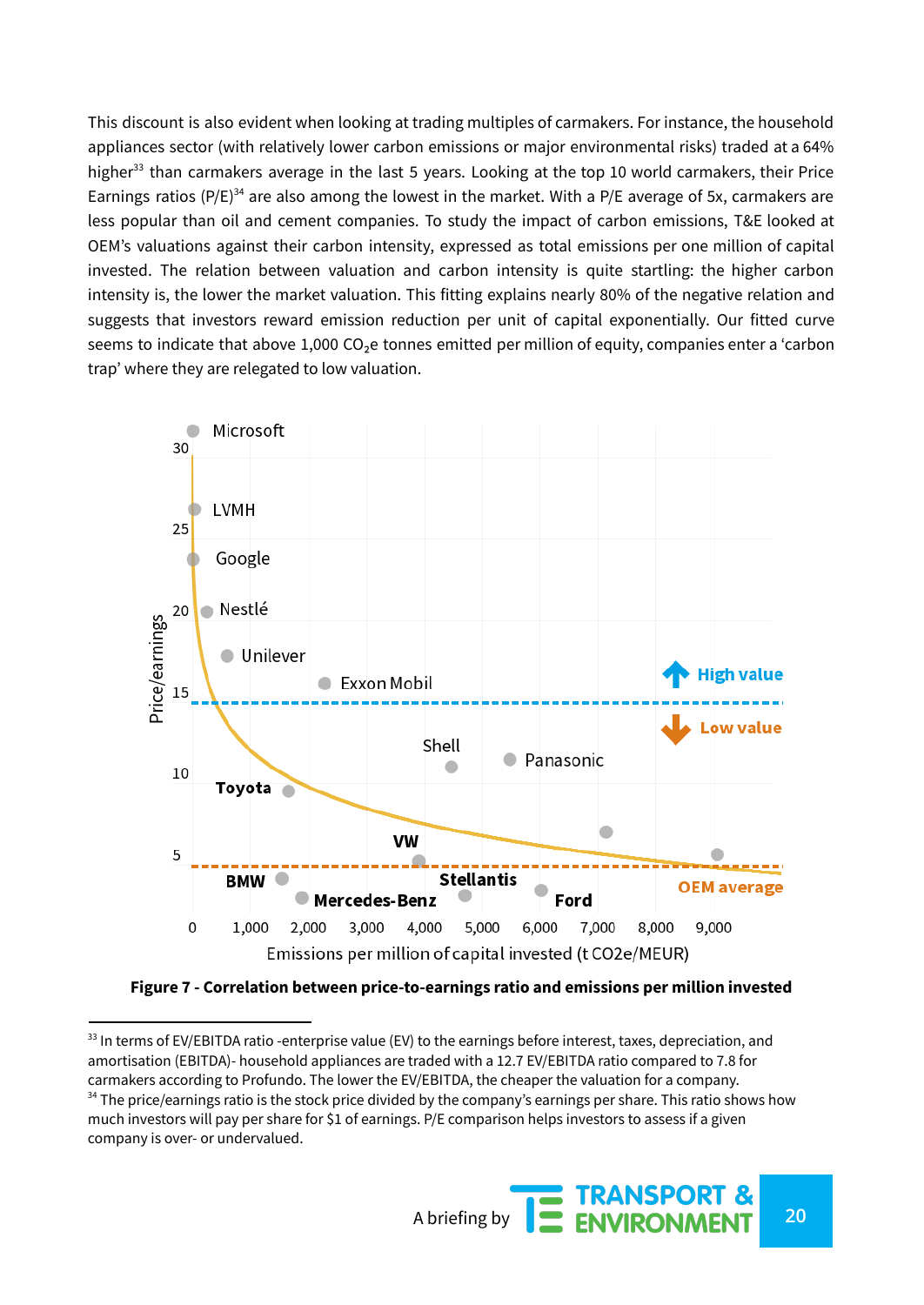This discount is also evident when looking at trading multiples of carmakers. For instance, the household appliances sector (with relatively lower carbon emissions or major environmental risks) traded at a 64% higher<sup>33</sup> than carmakers average in the last 5 years. Looking at the top 10 world carmakers, their Price Earnings ratios (P/E)<sup>34</sup> are also among the lowest in the market. With a P/E average of 5x, carmakers are less popular than oil and cement companies. To study the impact of carbon emissions, T&E looked at OEM's valuations against their carbon intensity, expressed as total emissions per one million of capital invested. The relation between valuation and carbon intensity is quite startling: the higher carbon intensity is, the lower the market valuation. This fitting explains nearly 80% of the negative relation and suggests that investors reward emission reduction per unit of capital exponentially. Our fitted curve seems to indicate that above 1,000 CO<sub>2</sub>e tonnes emitted per million of equity, companies enter a 'carbon trap' where they are relegated to low valuation.



**Figure 7 - Correlation between price-to-earnings ratio and emissions per million invested**

A briefing by **20**<br>A briefing by **20**<br>**20** 

 $34$  The price/earnings ratio is the stock price divided by the company's earnings per share. This ratio shows how much investors will pay per share for \$1 of earnings. P/E comparison helps investors to assess if a given company is over- or undervalued.  $33$  In terms of EV/EBITDA ratio -enterprise value (EV) to the earnings before interest, taxes, depreciation, and amortisation (EBITDA)- household appliances are traded with a 12.7 EV/EBITDA ratio compared to 7.8 for carmakers according to Profundo. The lower the EV/EBITDA, the cheaper the valuation for a company.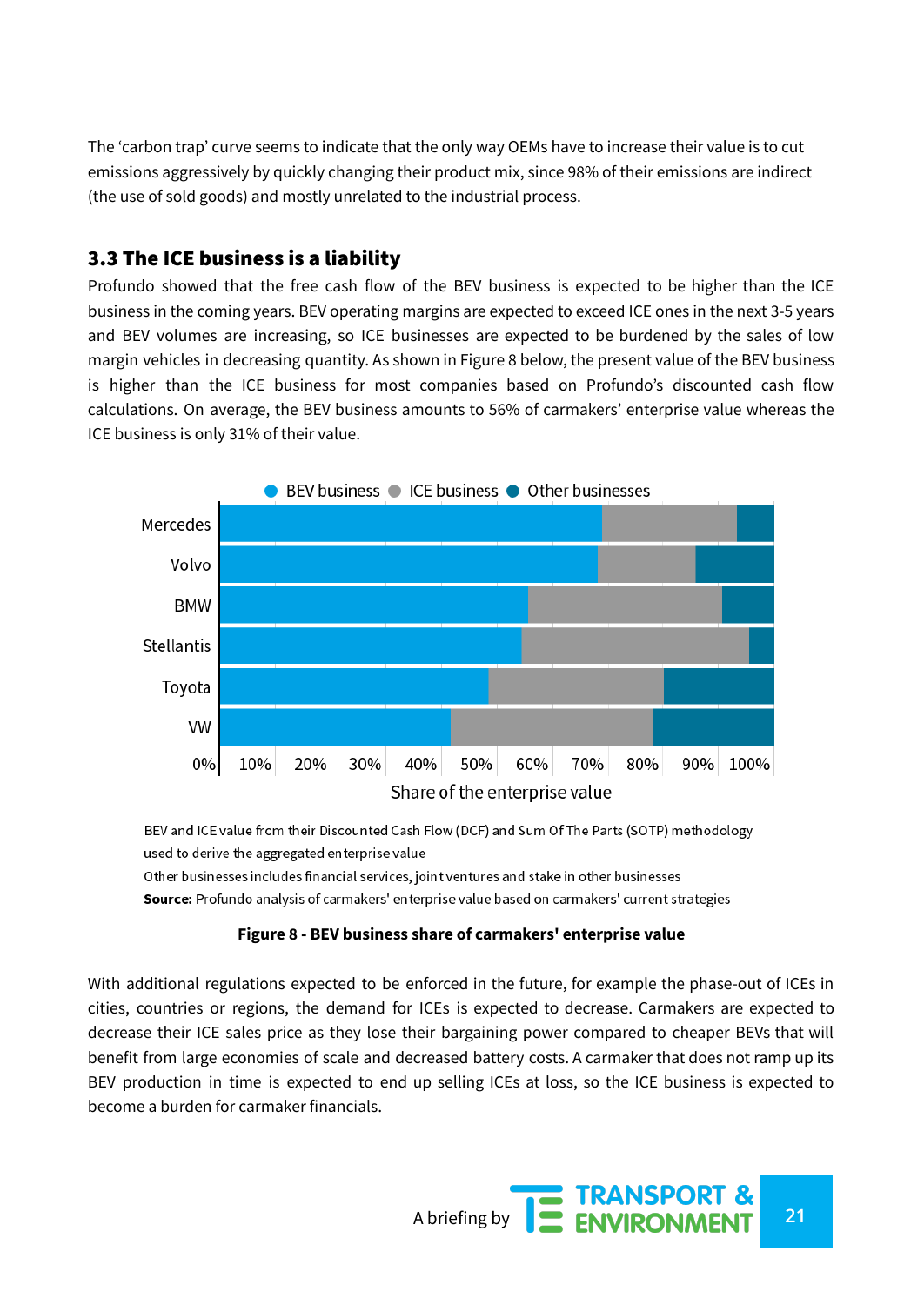The 'carbon trap' curve seems to indicate that the only way OEMs have to increase their value is to cut emissions aggressively by quickly changing their product mix, since 98% of their emissions are indirect (the use of sold goods) and mostly unrelated to the industrial process.

## 3.3 The ICE business is a liability

Profundo showed that the free cash flow of the BEV business is expected to be higher than the ICE business in the coming years. BEV operating margins are expected to exceed ICE ones in the next 3-5 years and BEV volumes are increasing, so ICE businesses are expected to be burdened by the sales of low margin vehicles in decreasing quantity. As shown in Figure 8 below, the present value of the BEV business is higher than the ICE business for most companies based on Profundo's discounted cash flow calculations. On average, the BEV business amounts to 56% of carmakers' enterprise value whereas the ICE business is only 31% of their value.



BEV and ICE value from their Discounted Cash Flow (DCF) and Sum Of The Parts (SOTP) methodology used to derive the aggregated enterprise value Other businesses includes financial services, joint ventures and stake in other businesses Source: Profundo analysis of carmakers' enterprise value based on carmakers' current strategies

#### **Figure 8 - BEV business share of carmakers' enterprise value**

With additional regulations expected to be enforced in the future, for example the phase-out of ICEs in cities, countries or regions, the demand for ICEs is expected to decrease. Carmakers are expected to decrease their ICE sales price as they lose their bargaining power compared to cheaper BEVs that will benefit from large economies of scale and decreased battery costs. A carmaker that does not ramp up its BEV production in time is expected to end up selling ICEs at loss, so the ICE business is expected to become a burden for carmaker financials.

A briefing by **21**<br>**21** ENVIRONMENT 21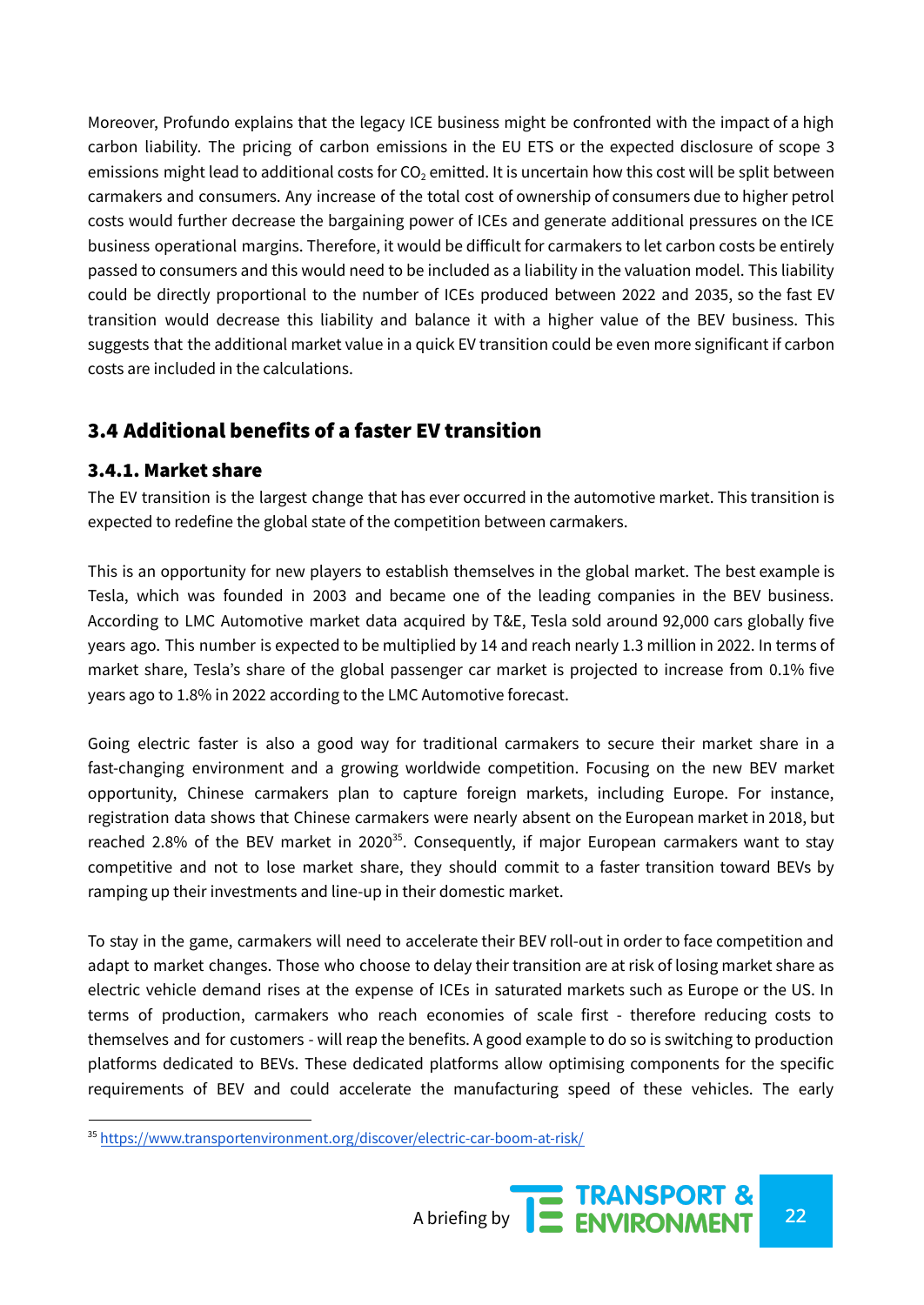Moreover, Profundo explains that the legacy ICE business might be confronted with the impact of a high carbon liability. The pricing of carbon emissions in the EU ETS or the expected disclosure of scope 3 emissions might lead to additional costs for  $CO<sub>2</sub>$  emitted. It is uncertain how this cost will be split between carmakers and consumers. Any increase of the total cost of ownership of consumers due to higher petrol costs would further decrease the bargaining power of ICEs and generate additional pressures on the ICE business operational margins. Therefore, it would be difficult for carmakers to let carbon costs be entirely passed to consumers and this would need to be included as a liability in the valuation model. This liability could be directly proportional to the number of ICEs produced between 2022 and 2035, so the fast EV transition would decrease this liability and balance it with a higher value of the BEV business. This suggests that the additional market value in a quick EV transition could be even more significant if carbon costs are included in the calculations.

## 3.4 Additional benefits of a faster EV transition

#### 3.4.1. Market share

The EV transition is the largest change that has ever occurred in the automotive market. This transition is expected to redefine the global state of the competition between carmakers.

This is an opportunity for new players to establish themselves in the global market. The best example is Tesla, which was founded in 2003 and became one of the leading companies in the BEV business. According to LMC Automotive market data acquired by T&E, Tesla sold around 92,000 cars globally five years ago. This number is expected to be multiplied by 14 and reach nearly 1.3 million in 2022. In terms of market share, Tesla's share of the global passenger car market is projected to increase from 0.1% five years ago to 1.8% in 2022 according to the LMC Automotive forecast.

Going electric faster is also a good way for traditional carmakers to secure their market share in a fast-changing environment and a growing worldwide competition. Focusing on the new BEV market opportunity, Chinese carmakers plan to capture foreign markets, including Europe. For instance, registration data shows that Chinese carmakers were nearly absent on the European market in 2018, but reached 2.8% of the BEV market in 2020<sup>35</sup>. Consequently, if major European carmakers want to stay competitive and not to lose market share, they should commit to a faster transition toward BEVs by ramping up their investments and line-up in their domestic market.

To stay in the game, carmakers will need to accelerate their BEV roll-out in order to face competition and adapt to market changes. Those who choose to delay their transition are at risk of losing market share as electric vehicle demand rises at the expense of ICEs in saturated markets such as Europe or the US. In terms of production, carmakers who reach economies of scale first - therefore reducing costs to themselves and for customers - will reap the benefits. A good example to do so is switching to production platforms dedicated to BEVs. These dedicated platforms allow optimising components for the specific requirements of BEV and could accelerate the manufacturing speed of these vehicles. The early

<sup>35</sup> <https://www.transportenvironment.org/discover/electric-car-boom-at-risk/>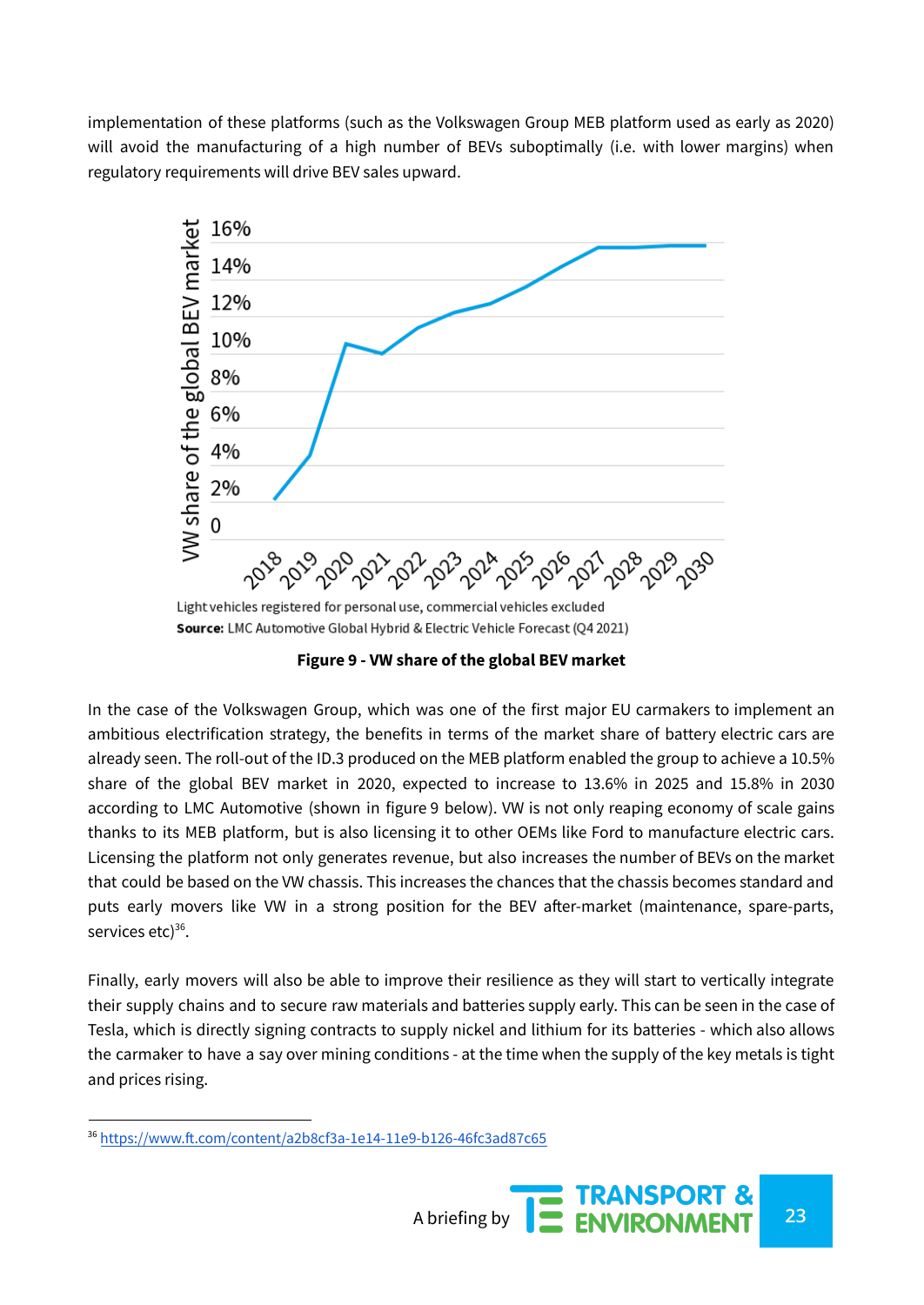implementation of these platforms (such as the Volkswagen Group MEB platform used as early as 2020) will avoid the manufacturing of a high number of BEVs suboptimally (i.e. with lower margins) when regulatory requirements will drive BEV sales upward.



**Figure 9 - VW share of the global BEV market**

In the case of the Volkswagen Group, which was one of the first major EU carmakers to implement an ambitious electrification strategy, the benefits in terms of the market share of battery electric cars are already seen. The roll-out of the ID.3 produced on the MEB platform enabled the group to achieve a 10.5% share of the global BEV market in 2020, expected to increase to 13.6% in 2025 and 15.8% in 2030 according to LMC Automotive (shown in figure 9 below). VW is not only reaping economy of scale gains thanks to its MEB platform, but is also licensing it to other OEMs like Ford to manufacture electric cars. Licensing the platform not only generates revenue, but also increases the number of BEVs on the market that could be based on the VW chassis. This increases the chances that the chassis becomes standard and puts early movers like VW in a strong position for the BEV after-market (maintenance, spare-parts, services etc)<sup>36</sup>.

Finally, early movers will also be able to improve their resilience as they will start to vertically integrate their supply chains and to secure raw materials and batteries supply early. This can be seen in the case of Tesla, which is directly signing contracts to supply nickel and lithium for its batteries - which also allows the carmaker to have a say over mining conditions - at the time when the supply of the key metals is tight and prices rising.

<sup>36</sup> <https://www.ft.com/content/a2b8cf3a-1e14-11e9-b126-46fc3ad87c65>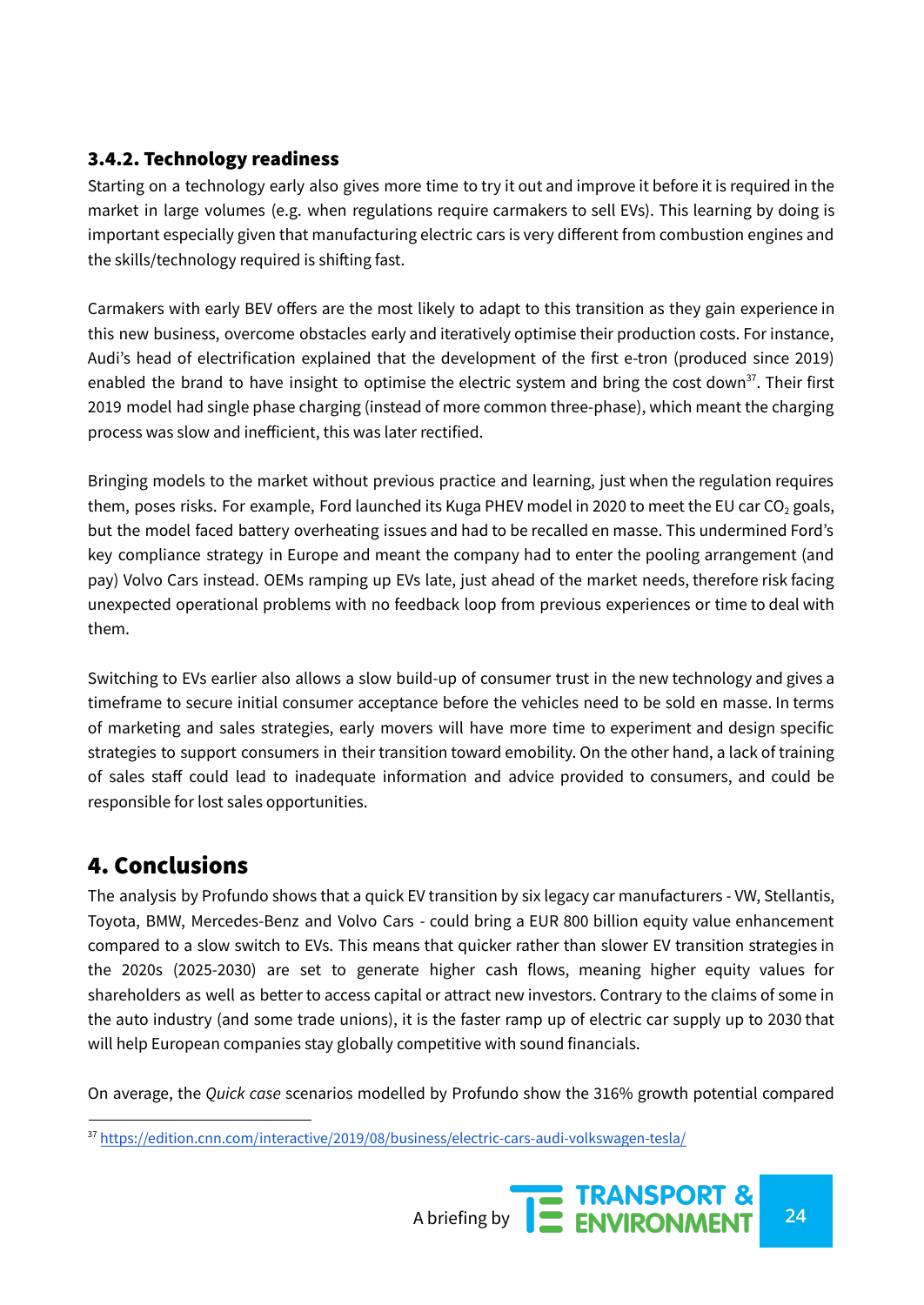#### 3.4.2. Technology readiness

Starting on a technology early also gives more time to try it out and improve it before it is required in the market in large volumes (e.g. when regulations require carmakers to sell EVs). This learning by doing is important especially given that manufacturing electric cars is very different from combustion engines and the skills/technology required is shifting fast.

Carmakers with early BEV offers are the most likely to adapt to this transition as they gain experience in this new business, overcome obstacles early and iteratively optimise their production costs. For instance, Audi's head of electrification explained that the development of the first e-tron (produced since 2019) enabled the brand to have insight to optimise the electric system and bring the cost down<sup>37</sup>. Their first 2019 model had single phase charging (instead of more common three-phase), which meant the charging process was slow and inefficient, this was later rectified.

Bringing models to the market without previous practice and learning, just when the regulation requires them, poses risks. For example, Ford launched its Kuga PHEV model in 2020 to meet the EU car  $CO<sub>2</sub>$  goals, but the model faced battery overheating issues and had to be recalled en masse. This undermined Ford's key compliance strategy in Europe and meant the company had to enter the pooling arrangement (and pay) Volvo Cars instead. OEMs ramping up EVs late, just ahead of the market needs, therefore risk facing unexpected operational problems with no feedback loop from previous experiences or time to deal with them.

Switching to EVs earlier also allows a slow build-up of consumer trust in the new technology and gives a timeframe to secure initial consumer acceptance before the vehicles need to be sold en masse. In terms of marketing and sales strategies, early movers will have more time to experiment and design specific strategies to support consumers in their transition toward emobility. On the other hand, a lack of training of sales staff could lead to inadequate information and advice provided to consumers, and could be responsible for lost sales opportunities.

## 4. Conclusions

The analysis by Profundo shows that a quick EV transition by six legacy car manufacturers - VW, Stellantis, Toyota, BMW, Mercedes-Benz and Volvo Cars - could bring a EUR 800 billion equity value enhancement compared to a slow switch to EVs. This means that quicker rather than slower EV transition strategies in the 2020s (2025-2030) are set to generate higher cash flows, meaning higher equity values for shareholders as well as better to access capital or attract new investors. Contrary to the claims of some in the auto industry (and some trade unions), it is the faster ramp up of electric car supply up to 2030 that will help European companies stay globally competitive with sound financials.

On average, the *Quick case* scenarios modelled by Profundo show the 316% growth potential compared

<sup>37</sup> <https://edition.cnn.com/interactive/2019/08/business/electric-cars-audi-volkswagen-tesla/>

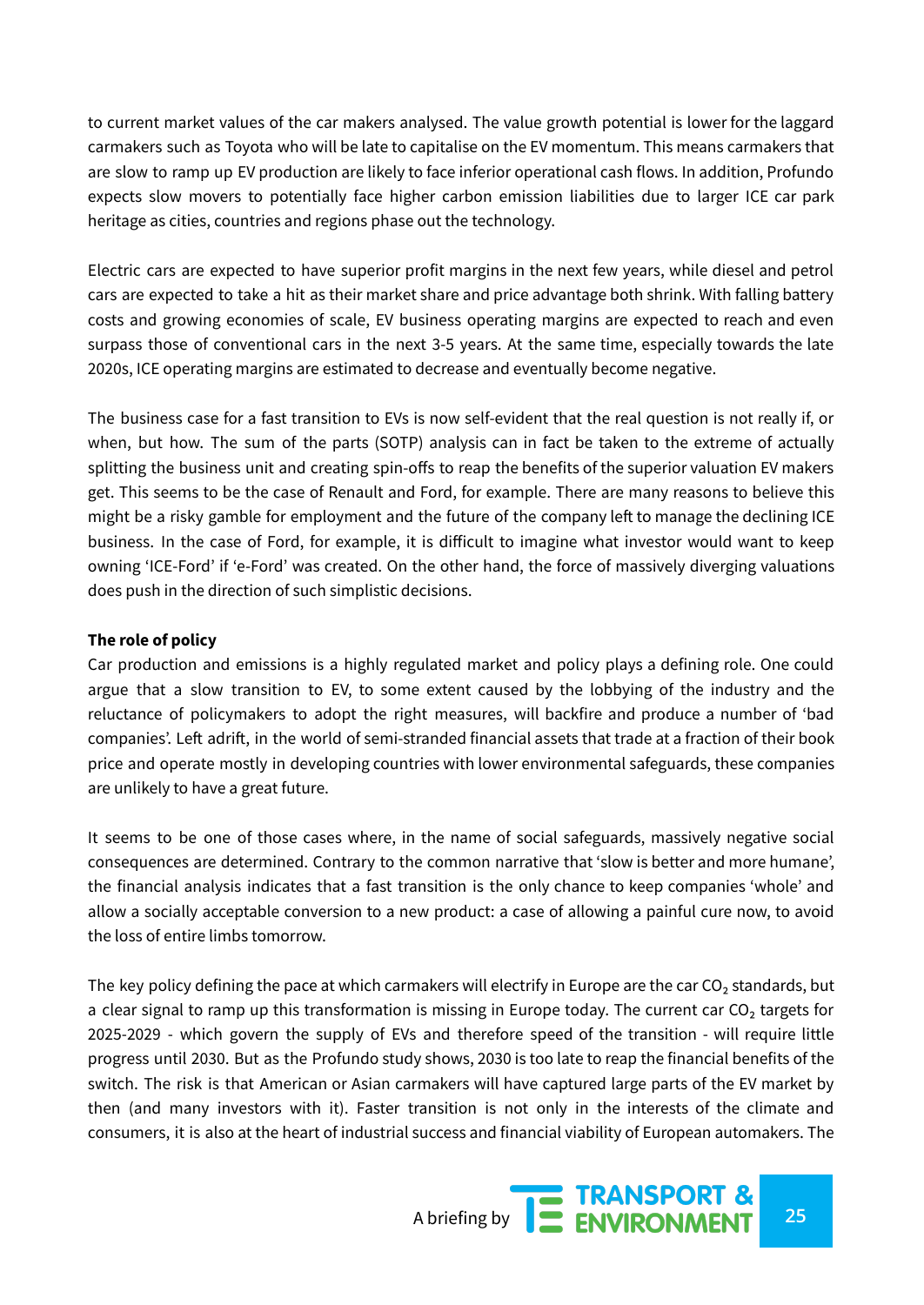to current market values of the car makers analysed. The value growth potential is lower for the laggard carmakers such as Toyota who will be late to capitalise on the EV momentum. This means carmakers that are slow to ramp up EV production are likely to face inferior operational cash flows. In addition, Profundo expects slow movers to potentially face higher carbon emission liabilities due to larger ICE car park heritage as cities, countries and regions phase out the technology.

Electric cars are expected to have superior profit margins in the next few years, while diesel and petrol cars are expected to take a hit as their market share and price advantage both shrink. With falling battery costs and growing economies of scale, EV business operating margins are expected to reach and even surpass those of conventional cars in the next 3-5 years. At the same time, especially towards the late 2020s, ICE operating margins are estimated to decrease and eventually become negative.

The business case for a fast transition to EVs is now self-evident that the real question is not really if, or when, but how. The sum of the parts (SOTP) analysis can in fact be taken to the extreme of actually splitting the business unit and creating spin-offs to reap the benefits of the superior valuation EV makers get. This seems to be the case of Renault and Ford, for example. There are many reasons to believe this might be a risky gamble for employment and the future of the company left to manage the declining ICE business. In the case of Ford, for example, it is difficult to imagine what investor would want to keep owning 'ICE-Ford' if 'e-Ford' was created. On the other hand, the force of massively diverging valuations does push in the direction of such simplistic decisions.

#### **The role of policy**

Car production and emissions is a highly regulated market and policy plays a defining role. One could argue that a slow transition to EV, to some extent caused by the lobbying of the industry and the reluctance of policymakers to adopt the right measures, will backfire and produce a number of 'bad companies'. Left adrift, in the world of semi-stranded financial assets that trade at a fraction of their book price and operate mostly in developing countries with lower environmental safeguards, these companies are unlikely to have a great future.

It seems to be one of those cases where, in the name of social safeguards, massively negative social consequences are determined. Contrary to the common narrative that 'slow is better and more humane', the financial analysis indicates that a fast transition is the only chance to keep companies 'whole' and allow a socially acceptable conversion to a new product: a case of allowing a painful cure now, to avoid the loss of entire limbs tomorrow.

The key policy defining the pace at which carmakers will electrify in Europe are the car  $CO<sub>2</sub>$  standards, but a clear signal to ramp up this transformation is missing in Europe today. The current car  $CO<sub>2</sub>$  targets for 2025-2029 - which govern the supply of EVs and therefore speed of the transition - will require little progress until 2030. But as the Profundo study shows, 2030 is too late to reap the financial benefits of the switch. The risk is that American or Asian carmakers will have captured large parts of the EV market by then (and many investors with it). Faster transition is not only in the interests of the climate and consumers, it is also at the heart of industrial success and financial viability of European automakers. The

A briefing by **25 ENVIRONMENT**